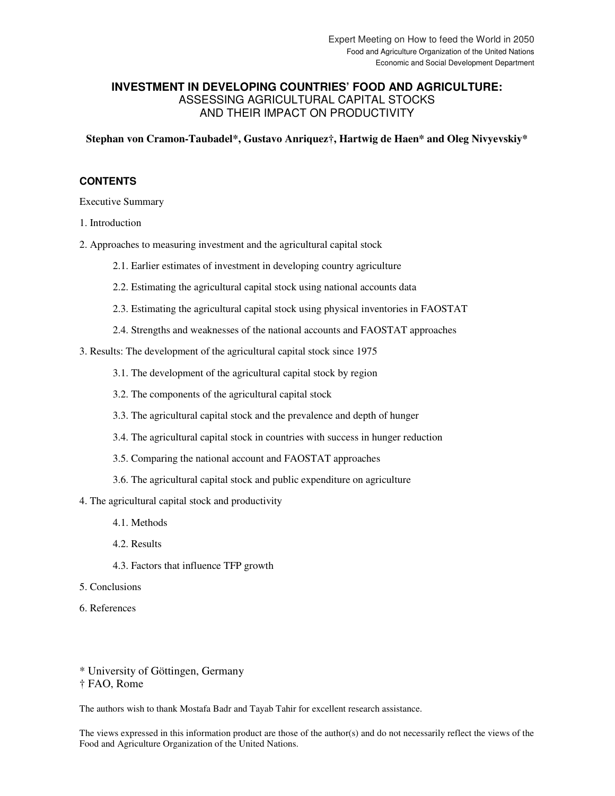# **INVESTMENT IN DEVELOPING COUNTRIES' FOOD AND AGRICULTURE:**  ASSESSING AGRICULTURAL CAPITAL STOCKS AND THEIR IMPACT ON PRODUCTIVITY

**Stephan von Cramon-Taubadel\*, Gustavo Anriquez†, Hartwig de Haen\* and Oleg Nivyevskiy\*** 

## **CONTENTS**

Executive Summary

1. Introduction

- 2. Approaches to measuring investment and the agricultural capital stock
	- 2.1. Earlier estimates of investment in developing country agriculture
	- 2.2. Estimating the agricultural capital stock using national accounts data
	- 2.3. Estimating the agricultural capital stock using physical inventories in FAOSTAT
	- 2.4. Strengths and weaknesses of the national accounts and FAOSTAT approaches

3. Results: The development of the agricultural capital stock since 1975

- 3.1. The development of the agricultural capital stock by region
- 3.2. The components of the agricultural capital stock
- 3.3. The agricultural capital stock and the prevalence and depth of hunger
- 3.4. The agricultural capital stock in countries with success in hunger reduction
- 3.5. Comparing the national account and FAOSTAT approaches
- 3.6. The agricultural capital stock and public expenditure on agriculture
- 4. The agricultural capital stock and productivity
	- 4.1. Methods
	- 4.2. Results
	- 4.3. Factors that influence TFP growth
- 5. Conclusions
- 6. References

\* University of Göttingen, Germany † FAO, Rome

The authors wish to thank Mostafa Badr and Tayab Tahir for excellent research assistance.

The views expressed in this information product are those of the author(s) and do not necessarily reflect the views of the Food and Agriculture Organization of the United Nations.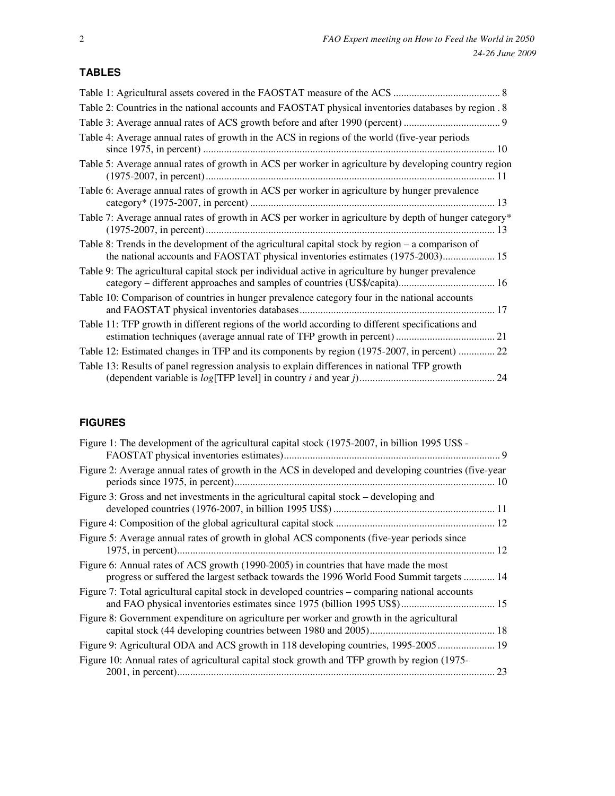# **TABLES**

| Table 2: Countries in the national accounts and FAOSTAT physical inventories databases by region . 8                                                                                |  |
|-------------------------------------------------------------------------------------------------------------------------------------------------------------------------------------|--|
|                                                                                                                                                                                     |  |
| Table 4: Average annual rates of growth in the ACS in regions of the world (five-year periods                                                                                       |  |
| Table 5: Average annual rates of growth in ACS per worker in agriculture by developing country region                                                                               |  |
| Table 6: Average annual rates of growth in ACS per worker in agriculture by hunger prevalence                                                                                       |  |
| Table 7: Average annual rates of growth in ACS per worker in agriculture by depth of hunger category*                                                                               |  |
| Table 8: Trends in the development of the agricultural capital stock by region – a comparison of<br>the national accounts and FAOSTAT physical inventories estimates (1975-2003) 15 |  |
| Table 9: The agricultural capital stock per individual active in agriculture by hunger prevalence                                                                                   |  |
| Table 10: Comparison of countries in hunger prevalence category four in the national accounts                                                                                       |  |
| Table 11: TFP growth in different regions of the world according to different specifications and                                                                                    |  |
| Table 12: Estimated changes in TFP and its components by region (1975-2007, in percent)  22                                                                                         |  |
| Table 13: Results of panel regression analysis to explain differences in national TFP growth                                                                                        |  |

# **FIGURES**

| Figure 1: The development of the agricultural capital stock (1975-2007, in billion 1995 US\$ -                                                                                   |  |
|----------------------------------------------------------------------------------------------------------------------------------------------------------------------------------|--|
|                                                                                                                                                                                  |  |
| Figure 2: Average annual rates of growth in the ACS in developed and developing countries (five-year                                                                             |  |
| Figure 3: Gross and net investments in the agricultural capital stock – developing and                                                                                           |  |
|                                                                                                                                                                                  |  |
| Figure 5: Average annual rates of growth in global ACS components (five-year periods since                                                                                       |  |
| Figure 6: Annual rates of ACS growth (1990-2005) in countries that have made the most<br>progress or suffered the largest setback towards the 1996 World Food Summit targets  14 |  |
| Figure 7: Total agricultural capital stock in developed countries – comparing national accounts                                                                                  |  |
| Figure 8: Government expenditure on agriculture per worker and growth in the agricultural                                                                                        |  |
| Figure 9: Agricultural ODA and ACS growth in 118 developing countries, 1995-2005 19                                                                                              |  |
| Figure 10: Annual rates of agricultural capital stock growth and TFP growth by region (1975-                                                                                     |  |
|                                                                                                                                                                                  |  |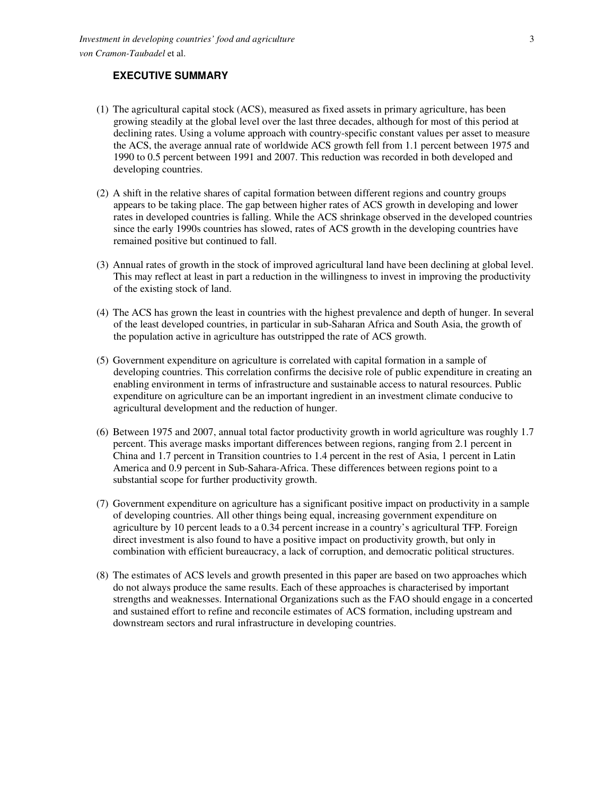# **EXECUTIVE SUMMARY**

- (1) The agricultural capital stock (ACS), measured as fixed assets in primary agriculture, has been growing steadily at the global level over the last three decades, although for most of this period at declining rates. Using a volume approach with country-specific constant values per asset to measure the ACS, the average annual rate of worldwide ACS growth fell from 1.1 percent between 1975 and 1990 to 0.5 percent between 1991 and 2007. This reduction was recorded in both developed and developing countries.
- (2) A shift in the relative shares of capital formation between different regions and country groups appears to be taking place. The gap between higher rates of ACS growth in developing and lower rates in developed countries is falling. While the ACS shrinkage observed in the developed countries since the early 1990s countries has slowed, rates of ACS growth in the developing countries have remained positive but continued to fall.
- (3) Annual rates of growth in the stock of improved agricultural land have been declining at global level. This may reflect at least in part a reduction in the willingness to invest in improving the productivity of the existing stock of land.
- (4) The ACS has grown the least in countries with the highest prevalence and depth of hunger. In several of the least developed countries, in particular in sub-Saharan Africa and South Asia, the growth of the population active in agriculture has outstripped the rate of ACS growth.
- (5) Government expenditure on agriculture is correlated with capital formation in a sample of developing countries. This correlation confirms the decisive role of public expenditure in creating an enabling environment in terms of infrastructure and sustainable access to natural resources. Public expenditure on agriculture can be an important ingredient in an investment climate conducive to agricultural development and the reduction of hunger.
- (6) Between 1975 and 2007, annual total factor productivity growth in world agriculture was roughly 1.7 percent. This average masks important differences between regions, ranging from 2.1 percent in China and 1.7 percent in Transition countries to 1.4 percent in the rest of Asia, 1 percent in Latin America and 0.9 percent in Sub-Sahara-Africa. These differences between regions point to a substantial scope for further productivity growth.
- (7) Government expenditure on agriculture has a significant positive impact on productivity in a sample of developing countries. All other things being equal, increasing government expenditure on agriculture by 10 percent leads to a 0.34 percent increase in a country's agricultural TFP. Foreign direct investment is also found to have a positive impact on productivity growth, but only in combination with efficient bureaucracy, a lack of corruption, and democratic political structures.
- (8) The estimates of ACS levels and growth presented in this paper are based on two approaches which do not always produce the same results. Each of these approaches is characterised by important strengths and weaknesses. International Organizations such as the FAO should engage in a concerted and sustained effort to refine and reconcile estimates of ACS formation, including upstream and downstream sectors and rural infrastructure in developing countries.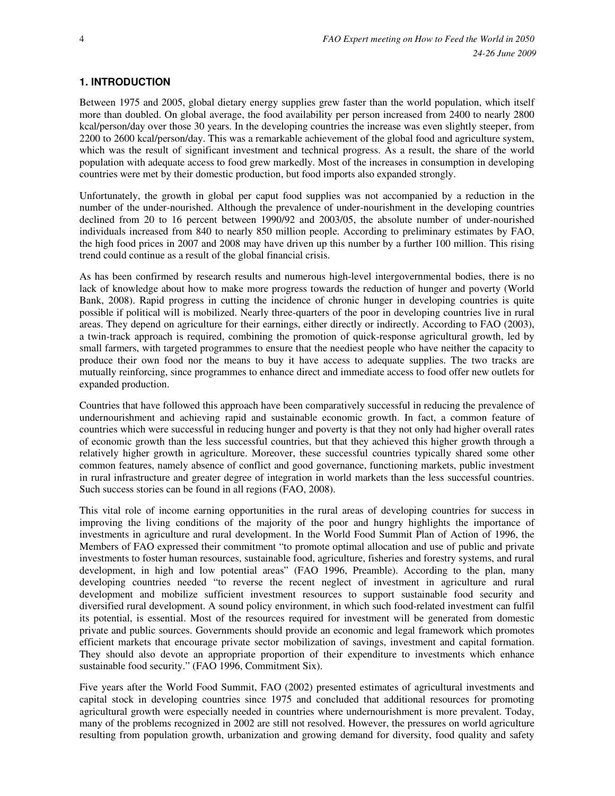## **1. INTRODUCTION**

Between 1975 and 2005, global dietary energy supplies grew faster than the world population, which itself more than doubled. On global average, the food availability per person increased from 2400 to nearly 2800 kcal/person/day over those 30 years. In the developing countries the increase was even slightly steeper, from 2200 to 2600 kcal/person/day. This was a remarkable achievement of the global food and agriculture system, which was the result of significant investment and technical progress. As a result, the share of the world population with adequate access to food grew markedly. Most of the increases in consumption in developing countries were met by their domestic production, but food imports also expanded strongly.

Unfortunately, the growth in global per caput food supplies was not accompanied by a reduction in the number of the under-nourished. Although the prevalence of under-nourishment in the developing countries declined from 20 to 16 percent between 1990/92 and 2003/05, the absolute number of under-nourished individuals increased from 840 to nearly 850 million people. According to preliminary estimates by FAO, the high food prices in 2007 and 2008 may have driven up this number by a further 100 million. This rising trend could continue as a result of the global financial crisis.

As has been confirmed by research results and numerous high-level intergovernmental bodies, there is no lack of knowledge about how to make more progress towards the reduction of hunger and poverty (World Bank, 2008). Rapid progress in cutting the incidence of chronic hunger in developing countries is quite possible if political will is mobilized. Nearly three-quarters of the poor in developing countries live in rural areas. They depend on agriculture for their earnings, either directly or indirectly. According to FAO (2003), a twin-track approach is required, combining the promotion of quick-response agricultural growth, led by small farmers, with targeted programmes to ensure that the neediest people who have neither the capacity to produce their own food nor the means to buy it have access to adequate supplies. The two tracks are mutually reinforcing, since programmes to enhance direct and immediate access to food offer new outlets for expanded production.

Countries that have followed this approach have been comparatively successful in reducing the prevalence of undernourishment and achieving rapid and sustainable economic growth. In fact, a common feature of countries which were successful in reducing hunger and poverty is that they not only had higher overall rates of economic growth than the less successful countries, but that they achieved this higher growth through a relatively higher growth in agriculture. Moreover, these successful countries typically shared some other common features, namely absence of conflict and good governance, functioning markets, public investment in rural infrastructure and greater degree of integration in world markets than the less successful countries. Such success stories can be found in all regions (FAO, 2008).

This vital role of income earning opportunities in the rural areas of developing countries for success in improving the living conditions of the majority of the poor and hungry highlights the importance of investments in agriculture and rural development. In the World Food Summit Plan of Action of 1996, the Members of FAO expressed their commitment "to promote optimal allocation and use of public and private investments to foster human resources, sustainable food, agriculture, fisheries and forestry systems, and rural development, in high and low potential areas" (FAO 1996, Preamble). According to the plan, many developing countries needed "to reverse the recent neglect of investment in agriculture and rural development and mobilize sufficient investment resources to support sustainable food security and diversified rural development. A sound policy environment, in which such food-related investment can fulfil its potential, is essential. Most of the resources required for investment will be generated from domestic private and public sources. Governments should provide an economic and legal framework which promotes efficient markets that encourage private sector mobilization of savings, investment and capital formation. They should also devote an appropriate proportion of their expenditure to investments which enhance sustainable food security." (FAO 1996, Commitment Six).

Five years after the World Food Summit, FAO (2002) presented estimates of agricultural investments and capital stock in developing countries since 1975 and concluded that additional resources for promoting agricultural growth were especially needed in countries where undernourishment is more prevalent. Today, many of the problems recognized in 2002 are still not resolved. However, the pressures on world agriculture resulting from population growth, urbanization and growing demand for diversity, food quality and safety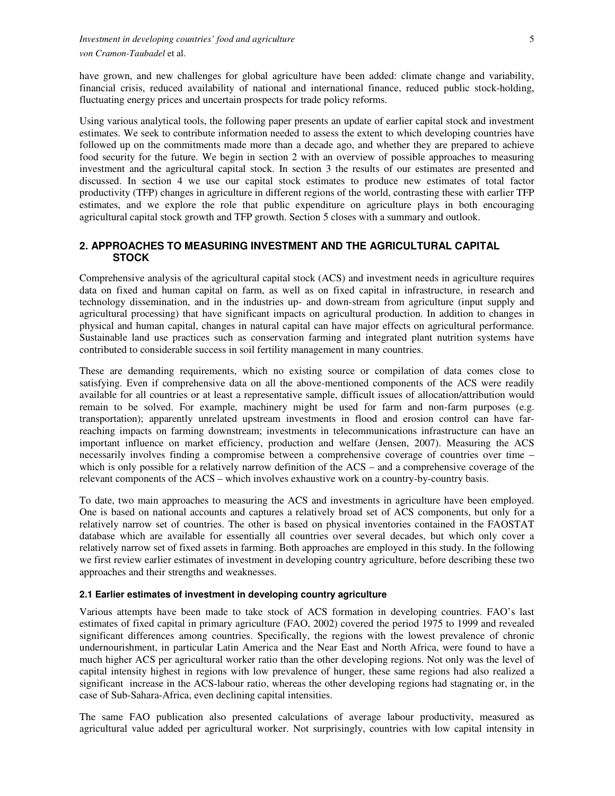have grown, and new challenges for global agriculture have been added: climate change and variability, financial crisis, reduced availability of national and international finance, reduced public stock-holding, fluctuating energy prices and uncertain prospects for trade policy reforms.

Using various analytical tools, the following paper presents an update of earlier capital stock and investment estimates. We seek to contribute information needed to assess the extent to which developing countries have followed up on the commitments made more than a decade ago, and whether they are prepared to achieve food security for the future. We begin in section 2 with an overview of possible approaches to measuring investment and the agricultural capital stock. In section 3 the results of our estimates are presented and discussed. In section 4 we use our capital stock estimates to produce new estimates of total factor productivity (TFP) changes in agriculture in different regions of the world, contrasting these with earlier TFP estimates, and we explore the role that public expenditure on agriculture plays in both encouraging agricultural capital stock growth and TFP growth. Section 5 closes with a summary and outlook.

### **2. APPROACHES TO MEASURING INVESTMENT AND THE AGRICULTURAL CAPITAL STOCK**

Comprehensive analysis of the agricultural capital stock (ACS) and investment needs in agriculture requires data on fixed and human capital on farm, as well as on fixed capital in infrastructure, in research and technology dissemination, and in the industries up- and down-stream from agriculture (input supply and agricultural processing) that have significant impacts on agricultural production. In addition to changes in physical and human capital, changes in natural capital can have major effects on agricultural performance. Sustainable land use practices such as conservation farming and integrated plant nutrition systems have contributed to considerable success in soil fertility management in many countries.

These are demanding requirements, which no existing source or compilation of data comes close to satisfying. Even if comprehensive data on all the above-mentioned components of the ACS were readily available for all countries or at least a representative sample, difficult issues of allocation/attribution would remain to be solved. For example, machinery might be used for farm and non-farm purposes (e.g. transportation); apparently unrelated upstream investments in flood and erosion control can have farreaching impacts on farming downstream; investments in telecommunications infrastructure can have an important influence on market efficiency, production and welfare (Jensen, 2007). Measuring the ACS necessarily involves finding a compromise between a comprehensive coverage of countries over time – which is only possible for a relatively narrow definition of the ACS – and a comprehensive coverage of the relevant components of the ACS – which involves exhaustive work on a country-by-country basis.

To date, two main approaches to measuring the ACS and investments in agriculture have been employed. One is based on national accounts and captures a relatively broad set of ACS components, but only for a relatively narrow set of countries. The other is based on physical inventories contained in the FAOSTAT database which are available for essentially all countries over several decades, but which only cover a relatively narrow set of fixed assets in farming. Both approaches are employed in this study. In the following we first review earlier estimates of investment in developing country agriculture, before describing these two approaches and their strengths and weaknesses.

### **2.1 Earlier estimates of investment in developing country agriculture**

Various attempts have been made to take stock of ACS formation in developing countries. FAO's last estimates of fixed capital in primary agriculture (FAO, 2002) covered the period 1975 to 1999 and revealed significant differences among countries. Specifically, the regions with the lowest prevalence of chronic undernourishment, in particular Latin America and the Near East and North Africa, were found to have a much higher ACS per agricultural worker ratio than the other developing regions. Not only was the level of capital intensity highest in regions with low prevalence of hunger, these same regions had also realized a significant increase in the ACS-labour ratio, whereas the other developing regions had stagnating or, in the case of Sub-Sahara-Africa, even declining capital intensities.

The same FAO publication also presented calculations of average labour productivity, measured as agricultural value added per agricultural worker. Not surprisingly, countries with low capital intensity in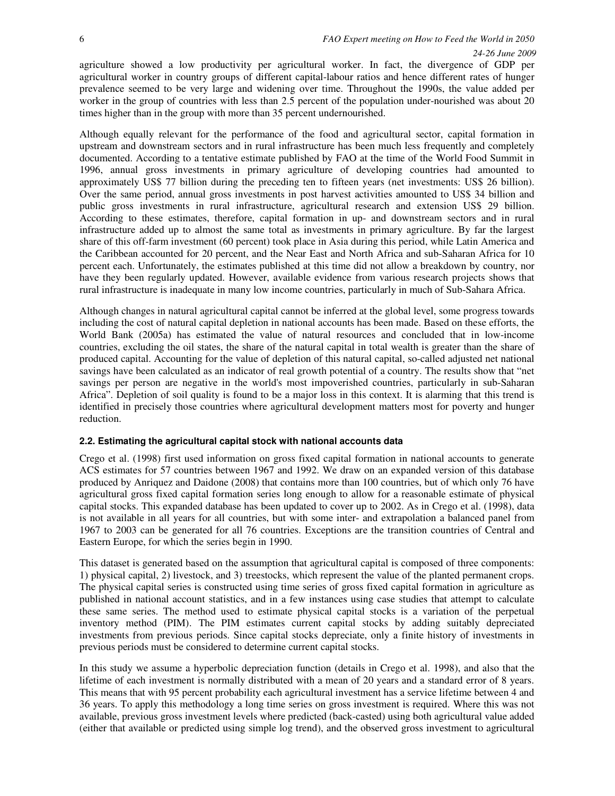agriculture showed a low productivity per agricultural worker. In fact, the divergence of GDP per agricultural worker in country groups of different capital-labour ratios and hence different rates of hunger prevalence seemed to be very large and widening over time. Throughout the 1990s, the value added per worker in the group of countries with less than 2.5 percent of the population under-nourished was about 20 times higher than in the group with more than 35 percent undernourished.

Although equally relevant for the performance of the food and agricultural sector, capital formation in upstream and downstream sectors and in rural infrastructure has been much less frequently and completely documented. According to a tentative estimate published by FAO at the time of the World Food Summit in 1996, annual gross investments in primary agriculture of developing countries had amounted to approximately US\$ 77 billion during the preceding ten to fifteen years (net investments: US\$ 26 billion). Over the same period, annual gross investments in post harvest activities amounted to US\$ 34 billion and public gross investments in rural infrastructure, agricultural research and extension US\$ 29 billion. According to these estimates, therefore, capital formation in up- and downstream sectors and in rural infrastructure added up to almost the same total as investments in primary agriculture. By far the largest share of this off-farm investment (60 percent) took place in Asia during this period, while Latin America and the Caribbean accounted for 20 percent, and the Near East and North Africa and sub-Saharan Africa for 10 percent each. Unfortunately, the estimates published at this time did not allow a breakdown by country, nor have they been regularly updated. However, available evidence from various research projects shows that rural infrastructure is inadequate in many low income countries, particularly in much of Sub-Sahara Africa.

Although changes in natural agricultural capital cannot be inferred at the global level, some progress towards including the cost of natural capital depletion in national accounts has been made. Based on these efforts, the World Bank (2005a) has estimated the value of natural resources and concluded that in low-income countries, excluding the oil states, the share of the natural capital in total wealth is greater than the share of produced capital. Accounting for the value of depletion of this natural capital, so-called adjusted net national savings have been calculated as an indicator of real growth potential of a country. The results show that "net savings per person are negative in the world's most impoverished countries, particularly in sub-Saharan Africa". Depletion of soil quality is found to be a major loss in this context. It is alarming that this trend is identified in precisely those countries where agricultural development matters most for poverty and hunger reduction.

### **2.2. Estimating the agricultural capital stock with national accounts data**

Crego et al. (1998) first used information on gross fixed capital formation in national accounts to generate ACS estimates for 57 countries between 1967 and 1992. We draw on an expanded version of this database produced by Anriquez and Daidone (2008) that contains more than 100 countries, but of which only 76 have agricultural gross fixed capital formation series long enough to allow for a reasonable estimate of physical capital stocks. This expanded database has been updated to cover up to 2002. As in Crego et al. (1998), data is not available in all years for all countries, but with some inter- and extrapolation a balanced panel from 1967 to 2003 can be generated for all 76 countries. Exceptions are the transition countries of Central and Eastern Europe, for which the series begin in 1990.

This dataset is generated based on the assumption that agricultural capital is composed of three components: 1) physical capital, 2) livestock, and 3) treestocks, which represent the value of the planted permanent crops. The physical capital series is constructed using time series of gross fixed capital formation in agriculture as published in national account statistics, and in a few instances using case studies that attempt to calculate these same series. The method used to estimate physical capital stocks is a variation of the perpetual inventory method (PIM). The PIM estimates current capital stocks by adding suitably depreciated investments from previous periods. Since capital stocks depreciate, only a finite history of investments in previous periods must be considered to determine current capital stocks.

In this study we assume a hyperbolic depreciation function (details in Crego et al. 1998), and also that the lifetime of each investment is normally distributed with a mean of 20 years and a standard error of 8 years. This means that with 95 percent probability each agricultural investment has a service lifetime between 4 and 36 years. To apply this methodology a long time series on gross investment is required. Where this was not available, previous gross investment levels where predicted (back-casted) using both agricultural value added (either that available or predicted using simple log trend), and the observed gross investment to agricultural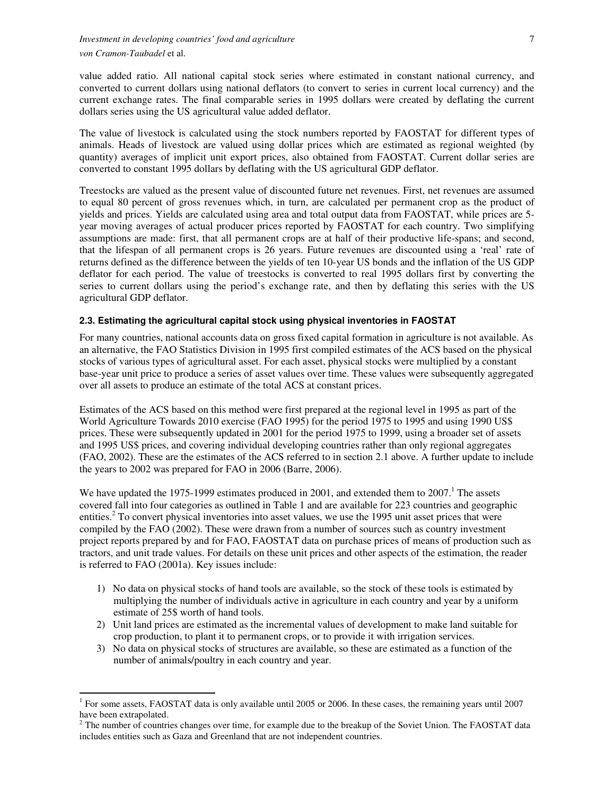value added ratio. All national capital stock series where estimated in constant national currency, and converted to current dollars using national deflators (to convert to series in current local currency) and the current exchange rates. The final comparable series in 1995 dollars were created by deflating the current dollars series using the US agricultural value added deflator.

The value of livestock is calculated using the stock numbers reported by FAOSTAT for different types of animals. Heads of livestock are valued using dollar prices which are estimated as regional weighted (by quantity) averages of implicit unit export prices, also obtained from FAOSTAT. Current dollar series are converted to constant 1995 dollars by deflating with the US agricultural GDP deflator.

Treestocks are valued as the present value of discounted future net revenues. First, net revenues are assumed to equal 80 percent of gross revenues which, in turn, are calculated per permanent crop as the product of yields and prices. Yields are calculated using area and total output data from FAOSTAT, while prices are 5 year moving averages of actual producer prices reported by FAOSTAT for each country. Two simplifying assumptions are made: first, that all permanent crops are at half of their productive life-spans; and second, that the lifespan of all permanent crops is 26 years. Future revenues are discounted using a 'real' rate of returns defined as the difference between the yields of ten 10-year US bonds and the inflation of the US GDP deflator for each period. The value of treestocks is converted to real 1995 dollars first by converting the series to current dollars using the period's exchange rate, and then by deflating this series with the US agricultural GDP deflator.

### **2.3. Estimating the agricultural capital stock using physical inventories in FAOSTAT**

For many countries, national accounts data on gross fixed capital formation in agriculture is not available. As an alternative, the FAO Statistics Division in 1995 first compiled estimates of the ACS based on the physical stocks of various types of agricultural asset. For each asset, physical stocks were multiplied by a constant base-year unit price to produce a series of asset values over time. These values were subsequently aggregated over all assets to produce an estimate of the total ACS at constant prices.

Estimates of the ACS based on this method were first prepared at the regional level in 1995 as part of the World Agriculture Towards 2010 exercise (FAO 1995) for the period 1975 to 1995 and using 1990 US\$ prices. These were subsequently updated in 2001 for the period 1975 to 1999, using a broader set of assets and 1995 US\$ prices, and covering individual developing countries rather than only regional aggregates (FAO, 2002). These are the estimates of the ACS referred to in section 2.1 above. A further update to include the years to 2002 was prepared for FAO in 2006 (Barre, 2006).

We have updated the 1975-1999 estimates produced in 2001, and extended them to  $2007<sup>1</sup>$ . The assets covered fall into four categories as outlined in Table 1 and are available for 223 countries and geographic entities.<sup>2</sup> To convert physical inventories into asset values, we use the 1995 unit asset prices that were compiled by the FAO (2002). These were drawn from a number of sources such as country investment project reports prepared by and for FAO, FAOSTAT data on purchase prices of means of production such as tractors, and unit trade values. For details on these unit prices and other aspects of the estimation, the reader is referred to FAO (2001a). Key issues include:

- 1) No data on physical stocks of hand tools are available, so the stock of these tools is estimated by multiplying the number of individuals active in agriculture in each country and year by a uniform estimate of 25\$ worth of hand tools.
- 2) Unit land prices are estimated as the incremental values of development to make land suitable for crop production, to plant it to permanent crops, or to provide it with irrigation services.
- 3) No data on physical stocks of structures are available, so these are estimated as a function of the number of animals/poultry in each country and year.

 $\overline{\phantom{a}}$ 

<sup>&</sup>lt;sup>1</sup> For some assets, FAOSTAT data is only available until 2005 or 2006. In these cases, the remaining years until 2007 have been extrapolated.

 $2^2$  The number of countries changes over time, for example due to the breakup of the Soviet Union. The FAOSTAT data includes entities such as Gaza and Greenland that are not independent countries.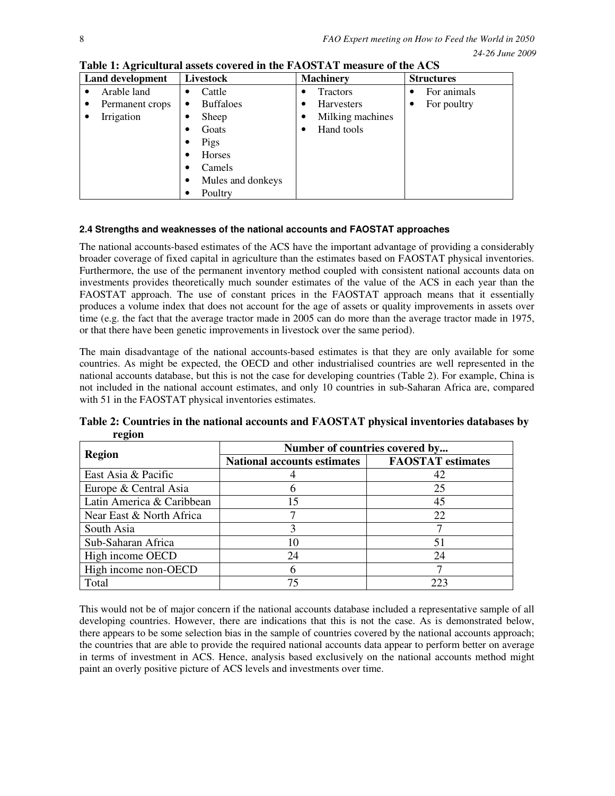| <b>Land development</b> |                 | Livestock |                   | <b>Machinery</b> |                   |   | <b>Structures</b> |  |  |
|-------------------------|-----------------|-----------|-------------------|------------------|-------------------|---|-------------------|--|--|
|                         | Arable land     | ٠         | Cattle            | ٠                | <b>Tractors</b>   |   | For animals       |  |  |
|                         | Permanent crops | ٠         | <b>Buffaloes</b>  | ٠                | <b>Harvesters</b> | ٠ | For poultry       |  |  |
|                         | Irrigation      | ٠         | Sheep             | ٠                | Milking machines  |   |                   |  |  |
|                         |                 | ٠         | Goats             |                  | Hand tools        |   |                   |  |  |
|                         |                 | ٠         | Pigs              |                  |                   |   |                   |  |  |
|                         |                 | ٠         | Horses            |                  |                   |   |                   |  |  |
|                         |                 | ٠         | Camels            |                  |                   |   |                   |  |  |
|                         |                 | ٠         | Mules and donkeys |                  |                   |   |                   |  |  |
|                         |                 |           | Poultry           |                  |                   |   |                   |  |  |

**Table 1: Agricultural assets covered in the FAOSTAT measure of the ACS** 

## **2.4 Strengths and weaknesses of the national accounts and FAOSTAT approaches**

The national accounts-based estimates of the ACS have the important advantage of providing a considerably broader coverage of fixed capital in agriculture than the estimates based on FAOSTAT physical inventories. Furthermore, the use of the permanent inventory method coupled with consistent national accounts data on investments provides theoretically much sounder estimates of the value of the ACS in each year than the FAOSTAT approach. The use of constant prices in the FAOSTAT approach means that it essentially produces a volume index that does not account for the age of assets or quality improvements in assets over time (e.g. the fact that the average tractor made in 2005 can do more than the average tractor made in 1975, or that there have been genetic improvements in livestock over the same period).

The main disadvantage of the national accounts-based estimates is that they are only available for some countries. As might be expected, the OECD and other industrialised countries are well represented in the national accounts database, but this is not the case for developing countries (Table 2). For example, China is not included in the national account estimates, and only 10 countries in sub-Saharan Africa are, compared with 51 in the FAOSTAT physical inventories estimates.

|                           | Number of countries covered by     |                          |  |  |  |  |
|---------------------------|------------------------------------|--------------------------|--|--|--|--|
| <b>Region</b>             | <b>National accounts estimates</b> | <b>FAOSTAT</b> estimates |  |  |  |  |
| East Asia & Pacific       |                                    | 42                       |  |  |  |  |
| Europe & Central Asia     |                                    | 25                       |  |  |  |  |
| Latin America & Caribbean | 15                                 | 45                       |  |  |  |  |
| Near East & North Africa  |                                    | 22                       |  |  |  |  |
| South Asia                | 3                                  |                          |  |  |  |  |
| Sub-Saharan Africa        | 10                                 | 51                       |  |  |  |  |
| High income OECD          | 24                                 | 24                       |  |  |  |  |
| High income non-OECD      | h                                  |                          |  |  |  |  |
| Total                     | 75                                 | 223                      |  |  |  |  |

**Table 2: Countries in the national accounts and FAOSTAT physical inventories databases by region** 

This would not be of major concern if the national accounts database included a representative sample of all developing countries. However, there are indications that this is not the case. As is demonstrated below, there appears to be some selection bias in the sample of countries covered by the national accounts approach; the countries that are able to provide the required national accounts data appear to perform better on average in terms of investment in ACS. Hence, analysis based exclusively on the national accounts method might paint an overly positive picture of ACS levels and investments over time.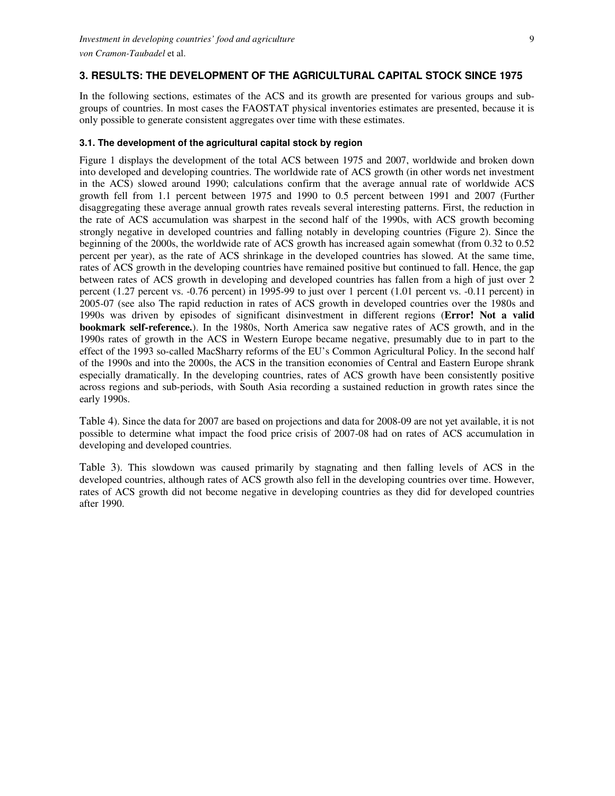### **3. RESULTS: THE DEVELOPMENT OF THE AGRICULTURAL CAPITAL STOCK SINCE 1975**

In the following sections, estimates of the ACS and its growth are presented for various groups and subgroups of countries. In most cases the FAOSTAT physical inventories estimates are presented, because it is only possible to generate consistent aggregates over time with these estimates.

### **3.1. The development of the agricultural capital stock by region**

Figure 1 displays the development of the total ACS between 1975 and 2007, worldwide and broken down into developed and developing countries. The worldwide rate of ACS growth (in other words net investment in the ACS) slowed around 1990; calculations confirm that the average annual rate of worldwide ACS growth fell from 1.1 percent between 1975 and 1990 to 0.5 percent between 1991 and 2007 (Further disaggregating these average annual growth rates reveals several interesting patterns. First, the reduction in the rate of ACS accumulation was sharpest in the second half of the 1990s, with ACS growth becoming strongly negative in developed countries and falling notably in developing countries (Figure 2). Since the beginning of the 2000s, the worldwide rate of ACS growth has increased again somewhat (from 0.32 to 0.52 percent per year), as the rate of ACS shrinkage in the developed countries has slowed. At the same time, rates of ACS growth in the developing countries have remained positive but continued to fall. Hence, the gap between rates of ACS growth in developing and developed countries has fallen from a high of just over 2 percent (1.27 percent vs. -0.76 percent) in 1995-99 to just over 1 percent (1.01 percent vs. -0.11 percent) in 2005-07 (see also The rapid reduction in rates of ACS growth in developed countries over the 1980s and 1990s was driven by episodes of significant disinvestment in different regions (**Error! Not a valid bookmark self-reference.**). In the 1980s, North America saw negative rates of ACS growth, and in the 1990s rates of growth in the ACS in Western Europe became negative, presumably due to in part to the effect of the 1993 so-called MacSharry reforms of the EU's Common Agricultural Policy. In the second half of the 1990s and into the 2000s, the ACS in the transition economies of Central and Eastern Europe shrank especially dramatically. In the developing countries, rates of ACS growth have been consistently positive across regions and sub-periods, with South Asia recording a sustained reduction in growth rates since the early 1990s.

Table 4). Since the data for 2007 are based on projections and data for 2008-09 are not yet available, it is not possible to determine what impact the food price crisis of 2007-08 had on rates of ACS accumulation in developing and developed countries.

Table 3). This slowdown was caused primarily by stagnating and then falling levels of ACS in the developed countries, although rates of ACS growth also fell in the developing countries over time. However, rates of ACS growth did not become negative in developing countries as they did for developed countries after 1990.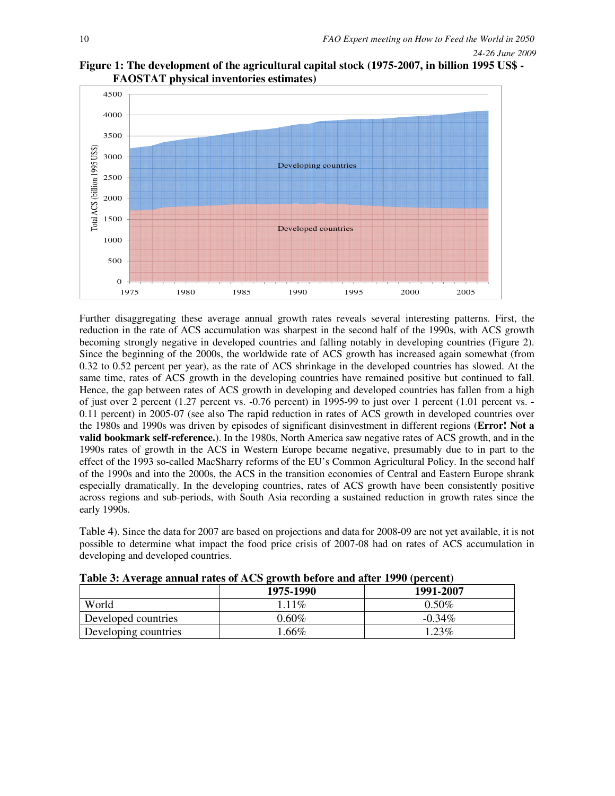



Further disaggregating these average annual growth rates reveals several interesting patterns. First, the reduction in the rate of ACS accumulation was sharpest in the second half of the 1990s, with ACS growth becoming strongly negative in developed countries and falling notably in developing countries (Figure 2). Since the beginning of the 2000s, the worldwide rate of ACS growth has increased again somewhat (from 0.32 to 0.52 percent per year), as the rate of ACS shrinkage in the developed countries has slowed. At the same time, rates of ACS growth in the developing countries have remained positive but continued to fall. Hence, the gap between rates of ACS growth in developing and developed countries has fallen from a high of just over 2 percent (1.27 percent vs. -0.76 percent) in 1995-99 to just over 1 percent (1.01 percent vs. - 0.11 percent) in 2005-07 (see also The rapid reduction in rates of ACS growth in developed countries over the 1980s and 1990s was driven by episodes of significant disinvestment in different regions (**Error! Not a valid bookmark self-reference.**). In the 1980s, North America saw negative rates of ACS growth, and in the 1990s rates of growth in the ACS in Western Europe became negative, presumably due to in part to the effect of the 1993 so-called MacSharry reforms of the EU's Common Agricultural Policy. In the second half of the 1990s and into the 2000s, the ACS in the transition economies of Central and Eastern Europe shrank especially dramatically. In the developing countries, rates of ACS growth have been consistently positive across regions and sub-periods, with South Asia recording a sustained reduction in growth rates since the early 1990s.

Table 4). Since the data for 2007 are based on projections and data for 2008-09 are not yet available, it is not possible to determine what impact the food price crisis of 2007-08 had on rates of ACS accumulation in developing and developed countries.

| TWOLE OF ITTURNS MILITARY DELIVED STORIED WITH MINE TO A THE CHIP. |           |           |  |  |  |  |  |  |
|--------------------------------------------------------------------|-----------|-----------|--|--|--|--|--|--|
|                                                                    | 1975-1990 | 1991-2007 |  |  |  |  |  |  |
| World                                                              | 1.11\%    | $0.50\%$  |  |  |  |  |  |  |
| Developed countries                                                | $0.60\%$  | $-0.34\%$ |  |  |  |  |  |  |
| Developing countries                                               | $.66\%$   | 123%      |  |  |  |  |  |  |

| Table 3: Average annual rates of ACS growth before and after 1990 (percent) |  |  |
|-----------------------------------------------------------------------------|--|--|
|                                                                             |  |  |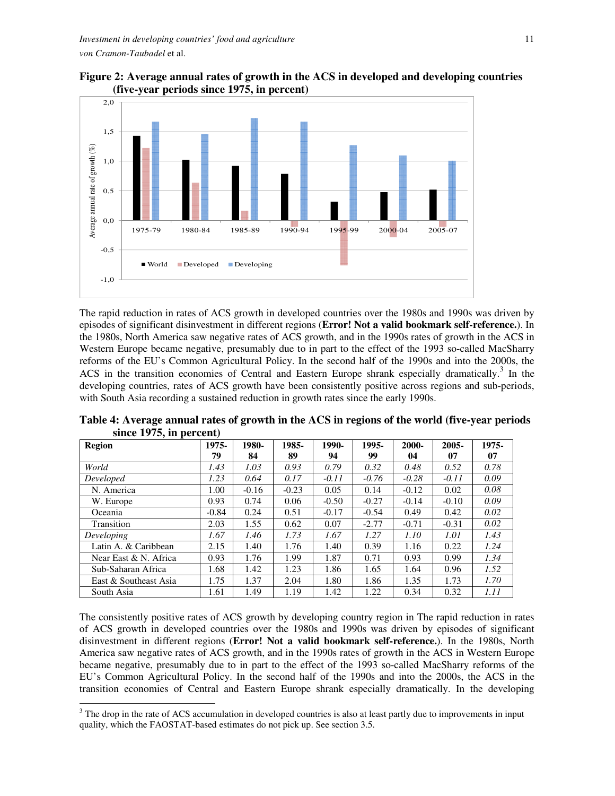



The rapid reduction in rates of ACS growth in developed countries over the 1980s and 1990s was driven by episodes of significant disinvestment in different regions (**Error! Not a valid bookmark self-reference.**). In the 1980s, North America saw negative rates of ACS growth, and in the 1990s rates of growth in the ACS in Western Europe became negative, presumably due to in part to the effect of the 1993 so-called MacSharry reforms of the EU's Common Agricultural Policy. In the second half of the 1990s and into the 2000s, the ACS in the transition economies of Central and Eastern Europe shrank especially dramatically.<sup>3</sup> In the developing countries, rates of ACS growth have been consistently positive across regions and sub-periods, with South Asia recording a sustained reduction in growth rates since the early 1990s.

| <b>Region</b>         | 1975-   | 1980-   | 1985-   | 1990-   | 1995-   | 2000-   | $2005 -$ | 1975- |
|-----------------------|---------|---------|---------|---------|---------|---------|----------|-------|
|                       |         |         |         |         |         |         |          |       |
|                       | 79      | 84      | 89      | 94      | 99      | 04      | 07       | 07    |
| World                 | 1.43    | 1.03    | 0.93    | 0.79    | 0.32    | 0.48    | 0.52     | 0.78  |
| Developed             | 1.23    | 0.64    | 0.17    | $-0.11$ | $-0.76$ | $-0.28$ | $-0.11$  | 0.09  |
| N. America            | 1.00    | $-0.16$ | $-0.23$ | 0.05    | 0.14    | $-0.12$ | 0.02     | 0.08  |
| W. Europe             | 0.93    | 0.74    | 0.06    | $-0.50$ | $-0.27$ | $-0.14$ | $-0.10$  | 0.09  |
| Oceania               | $-0.84$ | 0.24    | 0.51    | $-0.17$ | $-0.54$ | 0.49    | 0.42     | 0.02  |
| Transition            | 2.03    | 1.55    | 0.62    | 0.07    | $-2.77$ | $-0.71$ | $-0.31$  | 0.02  |
| Developing            | 1.67    | 1.46    | 1.73    | 1.67    | 1.27    | 1.10    | 1.01     | 1.43  |
| Latin A. & Caribbean  | 2.15    | 1.40    | 1.76    | 1.40    | 0.39    | 1.16    | 0.22     | 1.24  |
| Near East & N. Africa | 0.93    | 1.76    | 1.99    | 1.87    | 0.71    | 0.93    | 0.99     | 1.34  |
| Sub-Saharan Africa    | 1.68    | 1.42    | 1.23    | 1.86    | 1.65    | 1.64    | 0.96     | 1.52  |
| East & Southeast Asia | 1.75    | 1.37    | 2.04    | 1.80    | 1.86    | 1.35    | 1.73     | 1.70  |
| South Asia            | 1.61    | 1.49    | 1.19    | 1.42    | 1.22    | 0.34    | 0.32     | 1.11  |

**Table 4: Average annual rates of growth in the ACS in regions of the world (five-year periods since 1975, in percent)** 

The consistently positive rates of ACS growth by developing country region in The rapid reduction in rates of ACS growth in developed countries over the 1980s and 1990s was driven by episodes of significant disinvestment in different regions (**Error! Not a valid bookmark self-reference.**). In the 1980s, North America saw negative rates of ACS growth, and in the 1990s rates of growth in the ACS in Western Europe became negative, presumably due to in part to the effect of the 1993 so-called MacSharry reforms of the EU's Common Agricultural Policy. In the second half of the 1990s and into the 2000s, the ACS in the transition economies of Central and Eastern Europe shrank especially dramatically. In the developing

 $\overline{a}$ 

 $3$  The drop in the rate of ACS accumulation in developed countries is also at least partly due to improvements in input quality, which the FAOSTAT-based estimates do not pick up. See section 3.5.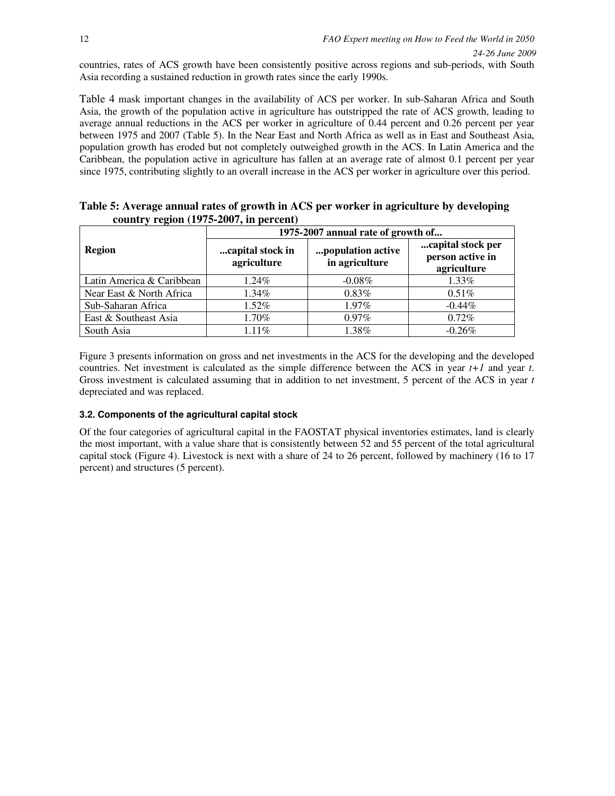countries, rates of ACS growth have been consistently positive across regions and sub-periods, with South Asia recording a sustained reduction in growth rates since the early 1990s.

Table 4 mask important changes in the availability of ACS per worker. In sub-Saharan Africa and South Asia, the growth of the population active in agriculture has outstripped the rate of ACS growth, leading to average annual reductions in the ACS per worker in agriculture of 0.44 percent and 0.26 percent per year between 1975 and 2007 (Table 5). In the Near East and North Africa as well as in East and Southeast Asia, population growth has eroded but not completely outweighed growth in the ACS. In Latin America and the Caribbean, the population active in agriculture has fallen at an average rate of almost 0.1 percent per year since 1975, contributing slightly to an overall increase in the ACS per worker in agriculture over this period.

|                           | $\frac{1}{2}$<br>1975-2007 annual rate of growth of                    |           |                                                      |  |  |  |
|---------------------------|------------------------------------------------------------------------|-----------|------------------------------------------------------|--|--|--|
| <b>Region</b>             | capital stock in<br>population active<br>in agriculture<br>agriculture |           | capital stock per<br>person active in<br>agriculture |  |  |  |
| Latin America & Caribbean | 1.24%                                                                  | $-0.08\%$ | 1.33%                                                |  |  |  |
| Near East & North Africa  | 1.34%                                                                  | 0.83%     | $0.51\%$                                             |  |  |  |
| Sub-Saharan Africa        | 1.52%                                                                  | 1.97%     | $-0.44\%$                                            |  |  |  |
| East & Southeast Asia     | 1.70%                                                                  | $0.97\%$  | 0.72%                                                |  |  |  |
| South Asia                | 1.11%                                                                  | 1.38%     | $-0.26%$                                             |  |  |  |

**Table 5: Average annual rates of growth in ACS per worker in agriculture by developing country region (1975-2007, in percent)** 

Figure 3 presents information on gross and net investments in the ACS for the developing and the developed countries. Net investment is calculated as the simple difference between the ACS in year *t+1* and year *t*. Gross investment is calculated assuming that in addition to net investment, 5 percent of the ACS in year *t* depreciated and was replaced.

## **3.2. Components of the agricultural capital stock**

Of the four categories of agricultural capital in the FAOSTAT physical inventories estimates, land is clearly the most important, with a value share that is consistently between 52 and 55 percent of the total agricultural capital stock (Figure 4). Livestock is next with a share of 24 to 26 percent, followed by machinery (16 to 17 percent) and structures (5 percent).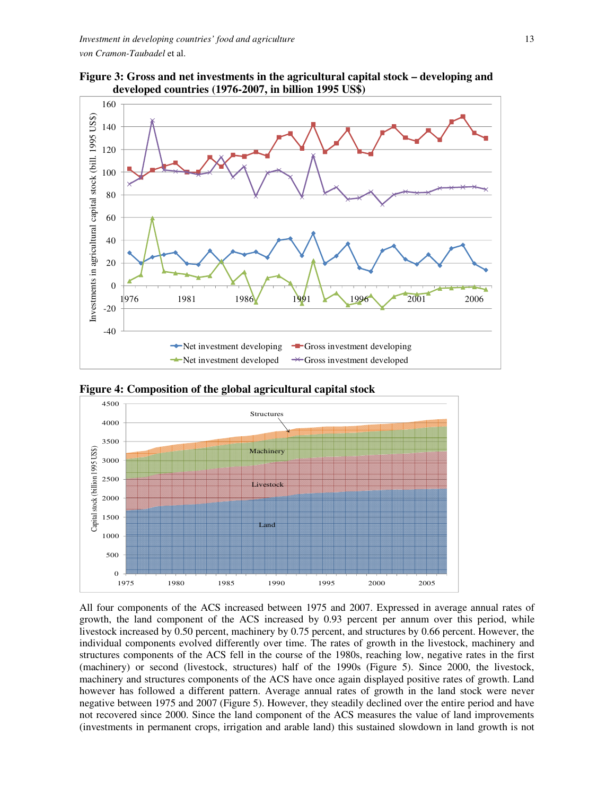



**Figure 4: Composition of the global agricultural capital stock** 



All four components of the ACS increased between 1975 and 2007. Expressed in average annual rates of growth, the land component of the ACS increased by 0.93 percent per annum over this period, while livestock increased by 0.50 percent, machinery by 0.75 percent, and structures by 0.66 percent. However, the individual components evolved differently over time. The rates of growth in the livestock, machinery and structures components of the ACS fell in the course of the 1980s, reaching low, negative rates in the first (machinery) or second (livestock, structures) half of the 1990s (Figure 5). Since 2000, the livestock, machinery and structures components of the ACS have once again displayed positive rates of growth. Land however has followed a different pattern. Average annual rates of growth in the land stock were never negative between 1975 and 2007 (Figure 5). However, they steadily declined over the entire period and have not recovered since 2000. Since the land component of the ACS measures the value of land improvements (investments in permanent crops, irrigation and arable land) this sustained slowdown in land growth is not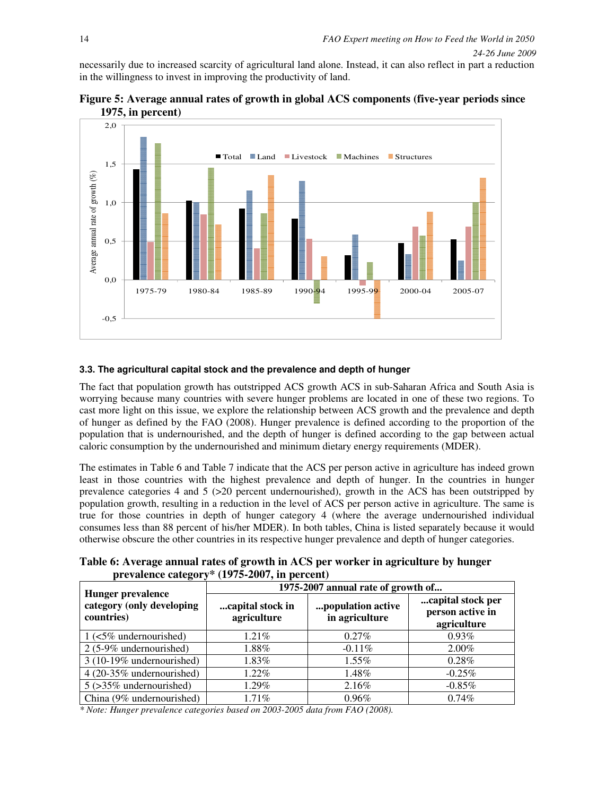necessarily due to increased scarcity of agricultural land alone. Instead, it can also reflect in part a reduction in the willingness to invest in improving the productivity of land.

![](_page_13_Figure_2.jpeg)

![](_page_13_Figure_3.jpeg)

# **3.3. The agricultural capital stock and the prevalence and depth of hunger**

The fact that population growth has outstripped ACS growth ACS in sub-Saharan Africa and South Asia is worrying because many countries with severe hunger problems are located in one of these two regions. To cast more light on this issue, we explore the relationship between ACS growth and the prevalence and depth of hunger as defined by the FAO (2008). Hunger prevalence is defined according to the proportion of the population that is undernourished, and the depth of hunger is defined according to the gap between actual caloric consumption by the undernourished and minimum dietary energy requirements (MDER).

The estimates in Table 6 and Table 7 indicate that the ACS per person active in agriculture has indeed grown least in those countries with the highest prevalence and depth of hunger. In the countries in hunger prevalence categories 4 and 5 (>20 percent undernourished), growth in the ACS has been outstripped by population growth, resulting in a reduction in the level of ACS per person active in agriculture. The same is true for those countries in depth of hunger category 4 (where the average undernourished individual consumes less than 88 percent of his/her MDER). In both tables, China is listed separately because it would otherwise obscure the other countries in its respective hunger prevalence and depth of hunger categories.

**Table 6: Average annual rates of growth in ACS per worker in agriculture by hunger prevalence category\* (1975-2007, in percent)** 

| <b>Hunger prevalence</b>                | 1975-2007 annual rate of growth of |                                     |                                                      |  |  |  |  |
|-----------------------------------------|------------------------------------|-------------------------------------|------------------------------------------------------|--|--|--|--|
| category (only developing<br>countries) | capital stock in<br>agriculture    | population active<br>in agriculture | capital stock per<br>person active in<br>agriculture |  |  |  |  |
| $1$ (<5% undernourished)                | $1.21\%$                           | $0.27\%$                            | 0.93%                                                |  |  |  |  |
| 2 (5-9% undernourished)                 | 1.88%                              | $-0.11\%$                           | $2.00\%$                                             |  |  |  |  |
| 3 (10-19% undernourished)               | 1.83%                              | 1.55%                               | 0.28%                                                |  |  |  |  |
| 4 (20-35% undernourished)               | 1.22%                              | 1.48%                               | $-0.25%$                                             |  |  |  |  |
| $5$ ( $>35\%$ undernourished)           | 1.29%                              | 2.16%                               | $-0.85%$                                             |  |  |  |  |
| China (9% undernourished)               | $1.71\%$                           | 0.96%                               | 0.74%                                                |  |  |  |  |

*\* Note: Hunger prevalence categories based on 2003-2005 data from FAO (2008).*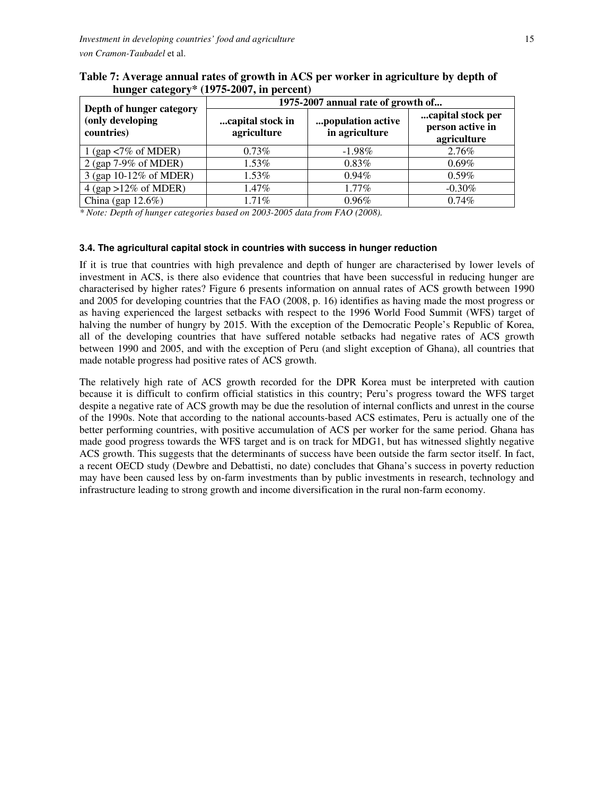| Depth of hunger category                       | 1975-2007 annual rate of growth of                                     |           |                                                      |  |  |  |  |
|------------------------------------------------|------------------------------------------------------------------------|-----------|------------------------------------------------------|--|--|--|--|
| (only developing<br>countries)                 | population active<br>capital stock in<br>in agriculture<br>agriculture |           | capital stock per<br>person active in<br>agriculture |  |  |  |  |
| 1 (gap $\langle 7\% \text{ of MDER} \rangle$ ) | $0.73\%$                                                               | $-1.98\%$ | 2.76%                                                |  |  |  |  |
| 2 (gap 7-9% of MDER)                           | 1.53%                                                                  | 0.83%     | 0.69%                                                |  |  |  |  |
| 3 (gap 10-12% of MDER)                         | 1.53%                                                                  | $0.94\%$  | $0.59\%$                                             |  |  |  |  |
| $4$ (gap >12% of MDER)                         | $1.47\%$                                                               | 1.77%     | $-0.30\%$                                            |  |  |  |  |
| China (gap $12.6\%$ )                          | $1.71\%$                                                               | 0.96%     | 0.74%                                                |  |  |  |  |

**Table 7: Average annual rates of growth in ACS per worker in agriculture by depth of hunger category\* (1975-2007, in percent)** 

*\* Note: Depth of hunger categories based on 2003-2005 data from FAO (2008).* 

### **3.4. The agricultural capital stock in countries with success in hunger reduction**

If it is true that countries with high prevalence and depth of hunger are characterised by lower levels of investment in ACS, is there also evidence that countries that have been successful in reducing hunger are characterised by higher rates? Figure 6 presents information on annual rates of ACS growth between 1990 and 2005 for developing countries that the FAO (2008, p. 16) identifies as having made the most progress or as having experienced the largest setbacks with respect to the 1996 World Food Summit (WFS) target of halving the number of hungry by 2015. With the exception of the Democratic People's Republic of Korea, all of the developing countries that have suffered notable setbacks had negative rates of ACS growth between 1990 and 2005, and with the exception of Peru (and slight exception of Ghana), all countries that made notable progress had positive rates of ACS growth.

The relatively high rate of ACS growth recorded for the DPR Korea must be interpreted with caution because it is difficult to confirm official statistics in this country; Peru's progress toward the WFS target despite a negative rate of ACS growth may be due the resolution of internal conflicts and unrest in the course of the 1990s. Note that according to the national accounts-based ACS estimates, Peru is actually one of the better performing countries, with positive accumulation of ACS per worker for the same period. Ghana has made good progress towards the WFS target and is on track for MDG1, but has witnessed slightly negative ACS growth. This suggests that the determinants of success have been outside the farm sector itself. In fact, a recent OECD study (Dewbre and Debattisti, no date) concludes that Ghana's success in poverty reduction may have been caused less by on-farm investments than by public investments in research, technology and infrastructure leading to strong growth and income diversification in the rural non-farm economy.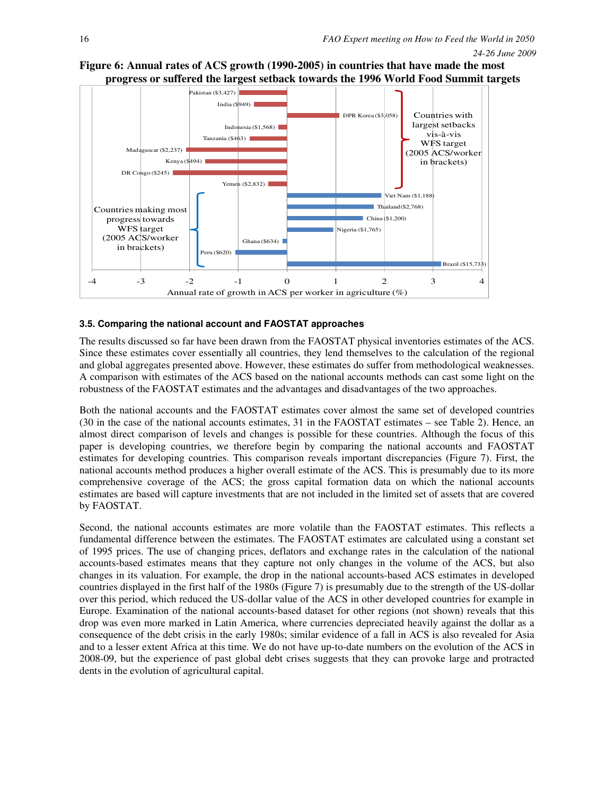![](_page_15_Figure_2.jpeg)

## **Figure 6: Annual rates of ACS growth (1990-2005) in countries that have made the most progress or suffered the largest setback towards the 1996 World Food Summit targets**

### **3.5. Comparing the national account and FAOSTAT approaches**

The results discussed so far have been drawn from the FAOSTAT physical inventories estimates of the ACS. Since these estimates cover essentially all countries, they lend themselves to the calculation of the regional and global aggregates presented above. However, these estimates do suffer from methodological weaknesses. A comparison with estimates of the ACS based on the national accounts methods can cast some light on the robustness of the FAOSTAT estimates and the advantages and disadvantages of the two approaches.

Both the national accounts and the FAOSTAT estimates cover almost the same set of developed countries (30 in the case of the national accounts estimates, 31 in the FAOSTAT estimates – see Table 2). Hence, an almost direct comparison of levels and changes is possible for these countries. Although the focus of this paper is developing countries, we therefore begin by comparing the national accounts and FAOSTAT estimates for developing countries. This comparison reveals important discrepancies (Figure 7). First, the national accounts method produces a higher overall estimate of the ACS. This is presumably due to its more comprehensive coverage of the ACS; the gross capital formation data on which the national accounts estimates are based will capture investments that are not included in the limited set of assets that are covered by FAOSTAT.

Second, the national accounts estimates are more volatile than the FAOSTAT estimates. This reflects a fundamental difference between the estimates. The FAOSTAT estimates are calculated using a constant set of 1995 prices. The use of changing prices, deflators and exchange rates in the calculation of the national accounts-based estimates means that they capture not only changes in the volume of the ACS, but also changes in its valuation. For example, the drop in the national accounts-based ACS estimates in developed countries displayed in the first half of the 1980s (Figure 7) is presumably due to the strength of the US-dollar over this period, which reduced the US-dollar value of the ACS in other developed countries for example in Europe. Examination of the national accounts-based dataset for other regions (not shown) reveals that this drop was even more marked in Latin America, where currencies depreciated heavily against the dollar as a consequence of the debt crisis in the early 1980s; similar evidence of a fall in ACS is also revealed for Asia and to a lesser extent Africa at this time. We do not have up-to-date numbers on the evolution of the ACS in 2008-09, but the experience of past global debt crises suggests that they can provoke large and protracted dents in the evolution of agricultural capital.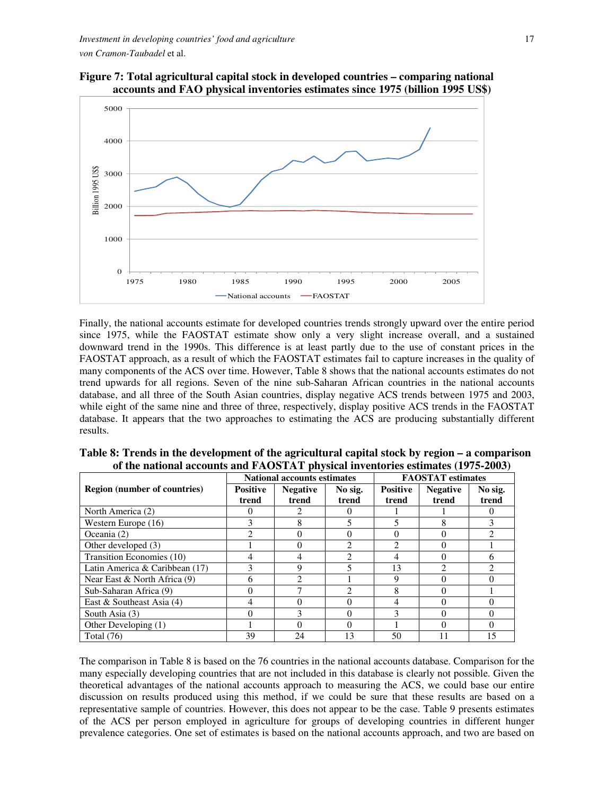![](_page_16_Figure_1.jpeg)

![](_page_16_Figure_2.jpeg)

Finally, the national accounts estimate for developed countries trends strongly upward over the entire period since 1975, while the FAOSTAT estimate show only a very slight increase overall, and a sustained downward trend in the 1990s. This difference is at least partly due to the use of constant prices in the FAOSTAT approach, as a result of which the FAOSTAT estimates fail to capture increases in the quality of many components of the ACS over time. However, Table 8 shows that the national accounts estimates do not trend upwards for all regions. Seven of the nine sub-Saharan African countries in the national accounts database, and all three of the South Asian countries, display negative ACS trends between 1975 and 2003, while eight of the same nine and three of three, respectively, display positive ACS trends in the FAOSTAT database. It appears that the two approaches to estimating the ACS are producing substantially different results.

|                                     |                 | <b>National accounts estimates</b> |                | <b>FAOSTAT</b> estimates |                 |                |
|-------------------------------------|-----------------|------------------------------------|----------------|--------------------------|-----------------|----------------|
| <b>Region (number of countries)</b> | <b>Positive</b> | <b>Negative</b>                    | No sig.        | <b>Positive</b>          | <b>Negative</b> | No sig.        |
|                                     | trend           | trend                              | trend          | trend                    | trend           | trend          |
| North America (2)                   |                 |                                    |                |                          |                 |                |
| Western Europe $(16)$               |                 | 8                                  |                | 5                        | 8               |                |
| Oceania $(2)$                       |                 |                                    |                |                          |                 |                |
| Other developed (3)                 |                 |                                    | $\mathfrak{D}$ | $\mathfrak{D}$           |                 |                |
| Transition Economies (10)           |                 |                                    | $\mathfrak{D}$ | 4                        |                 | h              |
| Latin America & Caribbean $(17)$    |                 | 9                                  | 5              | 13                       | $\mathcal{D}$   | $\mathfrak{D}$ |
| Near East & North Africa (9)        | 6               |                                    |                | 9                        |                 |                |
| Sub-Saharan Africa (9)              |                 |                                    | $\mathfrak{D}$ | 8                        | $\Omega$        |                |
| East & Southeast Asia $(4)$         |                 |                                    | $\Omega$       | $\overline{4}$           |                 |                |
| South Asia (3)                      |                 |                                    | $\Omega$       | 3                        | $\Omega$        |                |
| Other Developing (1)                |                 |                                    | $\Omega$       |                          |                 |                |
| Total $(76)$                        | 39              | 24                                 | 13             | 50                       | 11              | 15             |

**Table 8: Trends in the development of the agricultural capital stock by region – a comparison of the national accounts and FAOSTAT physical inventories estimates (1975-2003)** 

The comparison in Table 8 is based on the 76 countries in the national accounts database. Comparison for the many especially developing countries that are not included in this database is clearly not possible. Given the theoretical advantages of the national accounts approach to measuring the ACS, we could base our entire discussion on results produced using this method, if we could be sure that these results are based on a representative sample of countries. However, this does not appear to be the case. Table 9 presents estimates of the ACS per person employed in agriculture for groups of developing countries in different hunger prevalence categories. One set of estimates is based on the national accounts approach, and two are based on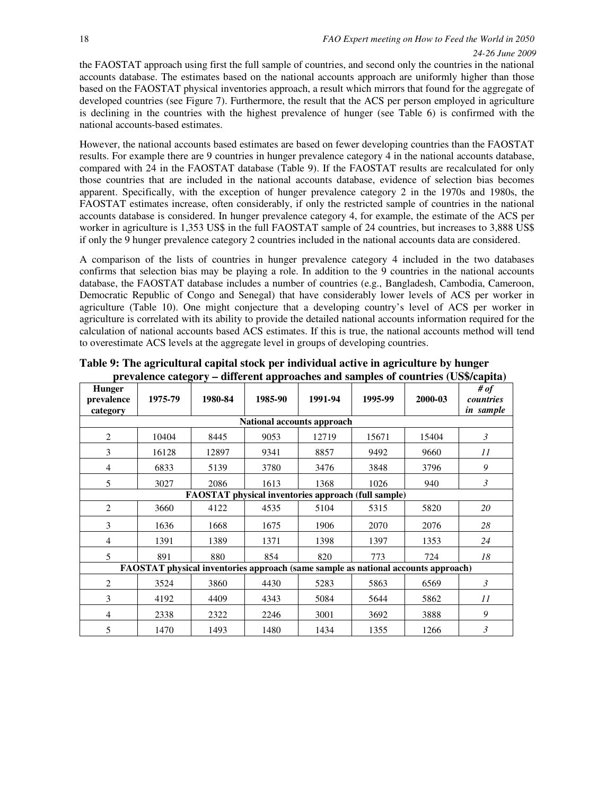the FAOSTAT approach using first the full sample of countries, and second only the countries in the national accounts database. The estimates based on the national accounts approach are uniformly higher than those based on the FAOSTAT physical inventories approach, a result which mirrors that found for the aggregate of developed countries (see Figure 7). Furthermore, the result that the ACS per person employed in agriculture is declining in the countries with the highest prevalence of hunger (see Table 6) is confirmed with the national accounts-based estimates.

However, the national accounts based estimates are based on fewer developing countries than the FAOSTAT results. For example there are 9 countries in hunger prevalence category 4 in the national accounts database, compared with 24 in the FAOSTAT database (Table 9). If the FAOSTAT results are recalculated for only those countries that are included in the national accounts database, evidence of selection bias becomes apparent. Specifically, with the exception of hunger prevalence category 2 in the 1970s and 1980s, the FAOSTAT estimates increase, often considerably, if only the restricted sample of countries in the national accounts database is considered. In hunger prevalence category 4, for example, the estimate of the ACS per worker in agriculture is 1,353 US\$ in the full FAOSTAT sample of 24 countries, but increases to 3,888 US\$ if only the 9 hunger prevalence category 2 countries included in the national accounts data are considered.

A comparison of the lists of countries in hunger prevalence category 4 included in the two databases confirms that selection bias may be playing a role. In addition to the 9 countries in the national accounts database, the FAOSTAT database includes a number of countries (e.g., Bangladesh, Cambodia, Cameroon, Democratic Republic of Congo and Senegal) that have considerably lower levels of ACS per worker in agriculture (Table 10). One might conjecture that a developing country's level of ACS per worker in agriculture is correlated with its ability to provide the detailed national accounts information required for the calculation of national accounts based ACS estimates. If this is true, the national accounts method will tend to overestimate ACS levels at the aggregate level in groups of developing countries.

| <b>Hunger</b><br>prevalence<br>category | o<br>1975-79                                                                      | 1980-84 | . .<br>1985-90 | 1991-94                    | 1995-99                                                    | 2000-03 | # of<br>countries<br>in sample |
|-----------------------------------------|-----------------------------------------------------------------------------------|---------|----------------|----------------------------|------------------------------------------------------------|---------|--------------------------------|
|                                         |                                                                                   |         |                | National accounts approach |                                                            |         |                                |
| $\overline{2}$                          | 10404                                                                             | 8445    | 9053           | 12719                      | 15671                                                      | 15404   | 3                              |
| 3                                       | 16128                                                                             | 12897   | 9341           | 8857                       | 9492                                                       | 9660    | 11                             |
| 4                                       | 6833                                                                              | 5139    | 3780           | 3476                       | 3848                                                       | 3796    | 9                              |
| 5                                       | 3027                                                                              | 2086    | 1613           | 1368                       | 1026                                                       | 940     | $\mathfrak{Z}$                 |
|                                         |                                                                                   |         |                |                            | <b>FAOSTAT</b> physical inventories approach (full sample) |         |                                |
| $\overline{2}$                          | 3660                                                                              | 4122    | 4535           | 5104                       | 5315                                                       | 5820    | 20                             |
| 3                                       | 1636                                                                              | 1668    | 1675           | 1906                       | 2070                                                       | 2076    | 28                             |
| 4                                       | 1391                                                                              | 1389    | 1371           | 1398                       | 1397                                                       | 1353    | 24                             |
| 5                                       | 891                                                                               | 880     | 854            | 820                        | 773                                                        | 724     | 18                             |
|                                         | FAOSTAT physical inventories approach (same sample as national accounts approach) |         |                |                            |                                                            |         |                                |
| 2                                       | 3524                                                                              | 3860    | 4430           | 5283                       | 5863                                                       | 6569    | 3                              |
| 3                                       | 4192                                                                              | 4409    | 4343           | 5084                       | 5644                                                       | 5862    | 11                             |
| 4                                       | 2338                                                                              | 2322    | 2246           | 3001                       | 3692                                                       | 3888    | 9                              |
| 5                                       | 1470                                                                              | 1493    | 1480           | 1434                       | 1355                                                       | 1266    | 3                              |

**Table 9: The agricultural capital stock per individual active in agriculture by hunger prevalence category – different approaches and samples of countries (US\$/capita)**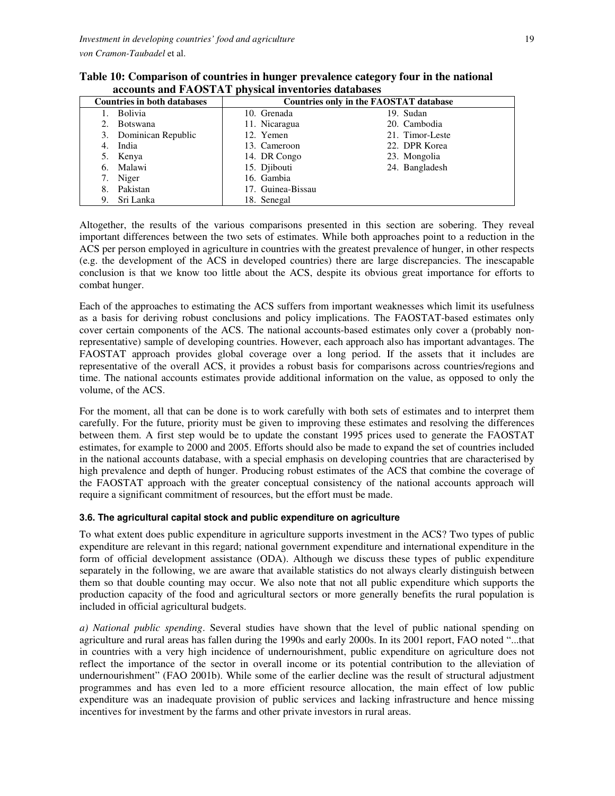| $\mathbf{u}$ , and $\mathbf{u}$ and $\mathbf{u}$ is $\mathbf{v}$ and $\mathbf{u}$ and $\mathbf{u}$ are $\mathbf{u}$ and $\mathbf{u}$ |                                               |                 |  |  |  |  |  |
|--------------------------------------------------------------------------------------------------------------------------------------|-----------------------------------------------|-----------------|--|--|--|--|--|
| <b>Countries in both databases</b>                                                                                                   | <b>Countries only in the FAOSTAT database</b> |                 |  |  |  |  |  |
| <b>Bolivia</b>                                                                                                                       | 10. Grenada                                   | 19. Sudan       |  |  |  |  |  |
| <b>Botswana</b>                                                                                                                      | 11. Nicaragua                                 | 20. Cambodia    |  |  |  |  |  |
| 3. Dominican Republic                                                                                                                | 12. Yemen                                     | 21. Timor-Leste |  |  |  |  |  |
| India<br>4.                                                                                                                          | 13. Cameroon                                  | 22. DPR Korea   |  |  |  |  |  |
| 5. Kenya                                                                                                                             | 14. DR Congo                                  | 23. Mongolia    |  |  |  |  |  |
| Malawi<br>6.                                                                                                                         | 15. Djibouti                                  | 24. Bangladesh  |  |  |  |  |  |
| Niger<br>7.                                                                                                                          | 16. Gambia                                    |                 |  |  |  |  |  |
| Pakistan<br>8.                                                                                                                       | 17. Guinea-Bissau                             |                 |  |  |  |  |  |
| Sri Lanka<br>9.                                                                                                                      | 18. Senegal                                   |                 |  |  |  |  |  |

**Table 10: Comparison of countries in hunger prevalence category four in the national accounts and FAOSTAT physical inventories databases**

Altogether, the results of the various comparisons presented in this section are sobering. They reveal important differences between the two sets of estimates. While both approaches point to a reduction in the ACS per person employed in agriculture in countries with the greatest prevalence of hunger, in other respects (e.g. the development of the ACS in developed countries) there are large discrepancies. The inescapable conclusion is that we know too little about the ACS, despite its obvious great importance for efforts to combat hunger.

Each of the approaches to estimating the ACS suffers from important weaknesses which limit its usefulness as a basis for deriving robust conclusions and policy implications. The FAOSTAT-based estimates only cover certain components of the ACS. The national accounts-based estimates only cover a (probably nonrepresentative) sample of developing countries. However, each approach also has important advantages. The FAOSTAT approach provides global coverage over a long period. If the assets that it includes are representative of the overall ACS, it provides a robust basis for comparisons across countries/regions and time. The national accounts estimates provide additional information on the value, as opposed to only the volume, of the ACS.

For the moment, all that can be done is to work carefully with both sets of estimates and to interpret them carefully. For the future, priority must be given to improving these estimates and resolving the differences between them. A first step would be to update the constant 1995 prices used to generate the FAOSTAT estimates, for example to 2000 and 2005. Efforts should also be made to expand the set of countries included in the national accounts database, with a special emphasis on developing countries that are characterised by high prevalence and depth of hunger. Producing robust estimates of the ACS that combine the coverage of the FAOSTAT approach with the greater conceptual consistency of the national accounts approach will require a significant commitment of resources, but the effort must be made.

### **3.6. The agricultural capital stock and public expenditure on agriculture**

To what extent does public expenditure in agriculture supports investment in the ACS? Two types of public expenditure are relevant in this regard; national government expenditure and international expenditure in the form of official development assistance (ODA). Although we discuss these types of public expenditure separately in the following, we are aware that available statistics do not always clearly distinguish between them so that double counting may occur. We also note that not all public expenditure which supports the production capacity of the food and agricultural sectors or more generally benefits the rural population is included in official agricultural budgets.

*a) National public spending*. Several studies have shown that the level of public national spending on agriculture and rural areas has fallen during the 1990s and early 2000s. In its 2001 report, FAO noted "...that in countries with a very high incidence of undernourishment, public expenditure on agriculture does not reflect the importance of the sector in overall income or its potential contribution to the alleviation of undernourishment" (FAO 2001b). While some of the earlier decline was the result of structural adjustment programmes and has even led to a more efficient resource allocation, the main effect of low public expenditure was an inadequate provision of public services and lacking infrastructure and hence missing incentives for investment by the farms and other private investors in rural areas.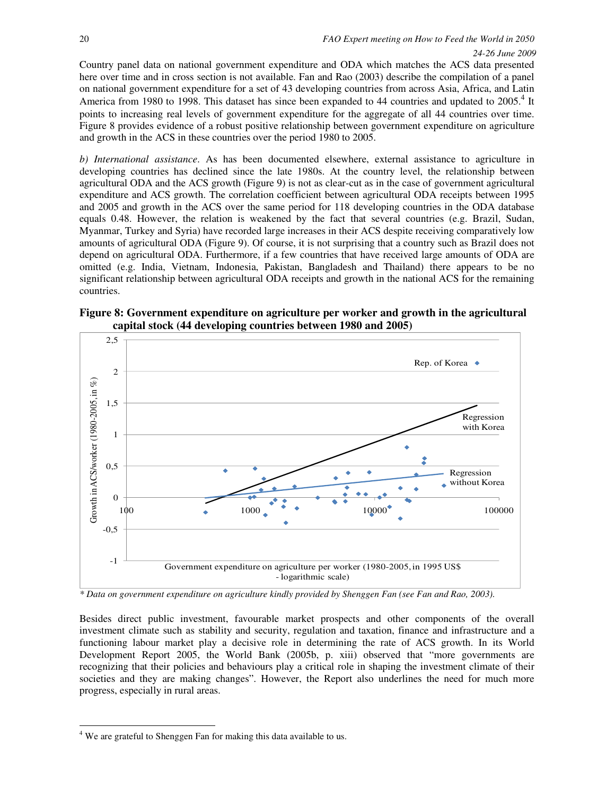Country panel data on national government expenditure and ODA which matches the ACS data presented here over time and in cross section is not available. Fan and Rao (2003) describe the compilation of a panel on national government expenditure for a set of 43 developing countries from across Asia, Africa, and Latin America from 1980 to 1998. This dataset has since been expanded to 44 countries and updated to 2005.<sup>4</sup> It points to increasing real levels of government expenditure for the aggregate of all 44 countries over time. Figure 8 provides evidence of a robust positive relationship between government expenditure on agriculture and growth in the ACS in these countries over the period 1980 to 2005.

*b) International assistance*. As has been documented elsewhere, external assistance to agriculture in developing countries has declined since the late 1980s. At the country level, the relationship between agricultural ODA and the ACS growth (Figure 9) is not as clear-cut as in the case of government agricultural expenditure and ACS growth. The correlation coefficient between agricultural ODA receipts between 1995 and 2005 and growth in the ACS over the same period for 118 developing countries in the ODA database equals 0.48. However, the relation is weakened by the fact that several countries (e.g. Brazil, Sudan, Myanmar, Turkey and Syria) have recorded large increases in their ACS despite receiving comparatively low amounts of agricultural ODA (Figure 9). Of course, it is not surprising that a country such as Brazil does not depend on agricultural ODA. Furthermore, if a few countries that have received large amounts of ODA are omitted (e.g. India, Vietnam, Indonesia, Pakistan, Bangladesh and Thailand) there appears to be no significant relationship between agricultural ODA receipts and growth in the national ACS for the remaining countries.

![](_page_19_Figure_4.jpeg)

![](_page_19_Figure_5.jpeg)

*\* Data on government expenditure on agriculture kindly provided by Shenggen Fan (see Fan and Rao, 2003).* 

Besides direct public investment, favourable market prospects and other components of the overall investment climate such as stability and security, regulation and taxation, finance and infrastructure and a functioning labour market play a decisive role in determining the rate of ACS growth. In its World Development Report 2005, the World Bank (2005b, p. xiii) observed that "more governments are recognizing that their policies and behaviours play a critical role in shaping the investment climate of their societies and they are making changes". However, the Report also underlines the need for much more progress, especially in rural areas.

l

<sup>&</sup>lt;sup>4</sup> We are grateful to Shenggen Fan for making this data available to us.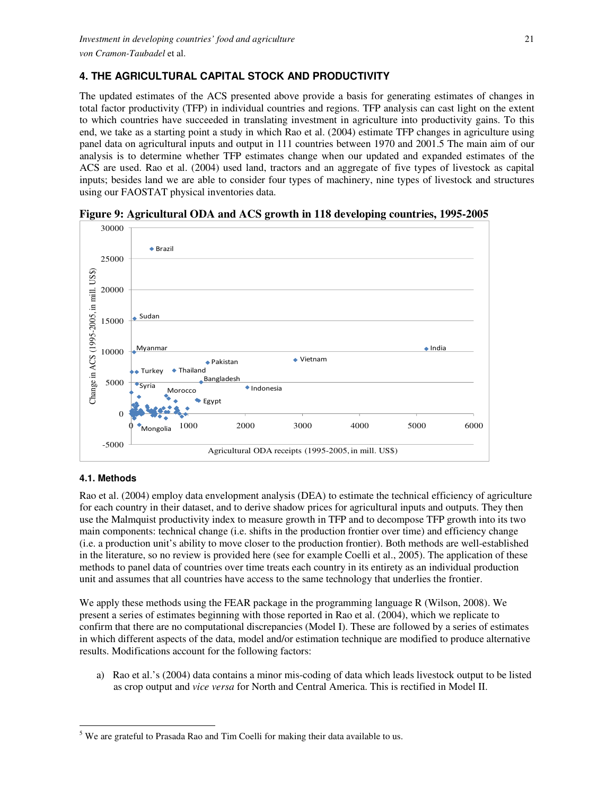# **4. THE AGRICULTURAL CAPITAL STOCK AND PRODUCTIVITY**

The updated estimates of the ACS presented above provide a basis for generating estimates of changes in total factor productivity (TFP) in individual countries and regions. TFP analysis can cast light on the extent to which countries have succeeded in translating investment in agriculture into productivity gains. To this end, we take as a starting point a study in which Rao et al. (2004) estimate TFP changes in agriculture using panel data on agricultural inputs and output in 111 countries between 1970 and 2001.5 The main aim of our analysis is to determine whether TFP estimates change when our updated and expanded estimates of the ACS are used. Rao et al. (2004) used land, tractors and an aggregate of five types of livestock as capital inputs; besides land we are able to consider four types of machinery, nine types of livestock and structures using our FAOSTAT physical inventories data.

![](_page_20_Figure_3.jpeg)

**Figure 9: Agricultural ODA and ACS growth in 118 developing countries, 1995-2005** 

## **4.1. Methods**

l

Rao et al. (2004) employ data envelopment analysis (DEA) to estimate the technical efficiency of agriculture for each country in their dataset, and to derive shadow prices for agricultural inputs and outputs. They then use the Malmquist productivity index to measure growth in TFP and to decompose TFP growth into its two main components: technical change (i.e. shifts in the production frontier over time) and efficiency change (i.e. a production unit's ability to move closer to the production frontier). Both methods are well-established in the literature, so no review is provided here (see for example Coelli et al., 2005). The application of these methods to panel data of countries over time treats each country in its entirety as an individual production unit and assumes that all countries have access to the same technology that underlies the frontier.

We apply these methods using the FEAR package in the programming language R (Wilson, 2008). We present a series of estimates beginning with those reported in Rao et al. (2004), which we replicate to confirm that there are no computational discrepancies (Model I). These are followed by a series of estimates in which different aspects of the data, model and/or estimation technique are modified to produce alternative results. Modifications account for the following factors:

a) Rao et al.'s (2004) data contains a minor mis-coding of data which leads livestock output to be listed as crop output and *vice versa* for North and Central America. This is rectified in Model II.

 $<sup>5</sup>$  We are grateful to Prasada Rao and Tim Coelli for making their data available to us.</sup>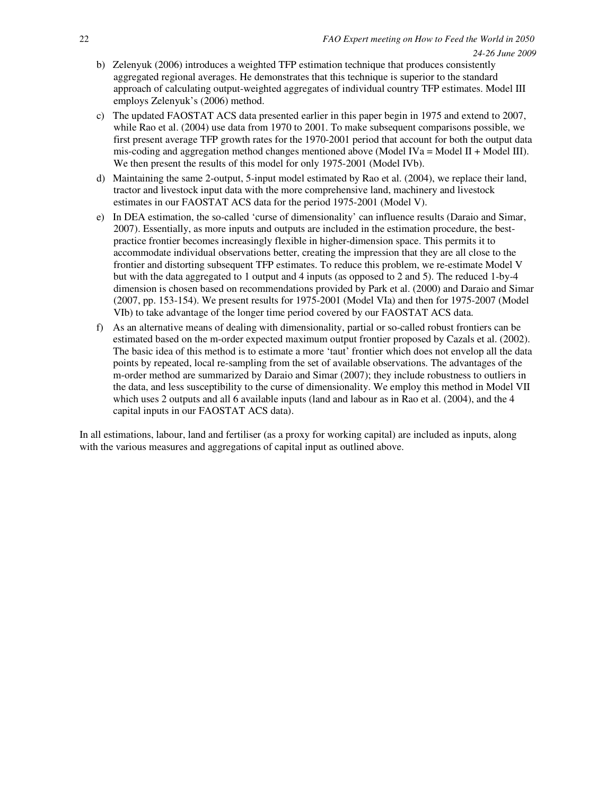- b) Zelenyuk (2006) introduces a weighted TFP estimation technique that produces consistently aggregated regional averages. He demonstrates that this technique is superior to the standard approach of calculating output-weighted aggregates of individual country TFP estimates. Model III employs Zelenyuk's (2006) method.
- c) The updated FAOSTAT ACS data presented earlier in this paper begin in 1975 and extend to 2007, while Rao et al. (2004) use data from 1970 to 2001. To make subsequent comparisons possible, we first present average TFP growth rates for the 1970-2001 period that account for both the output data mis-coding and aggregation method changes mentioned above (Model IVa = Model II + Model III). We then present the results of this model for only 1975-2001 (Model IVb).
- d) Maintaining the same 2-output, 5-input model estimated by Rao et al. (2004), we replace their land, tractor and livestock input data with the more comprehensive land, machinery and livestock estimates in our FAOSTAT ACS data for the period 1975-2001 (Model V).
- e) In DEA estimation, the so-called 'curse of dimensionality' can influence results (Daraio and Simar, 2007). Essentially, as more inputs and outputs are included in the estimation procedure, the bestpractice frontier becomes increasingly flexible in higher-dimension space. This permits it to accommodate individual observations better, creating the impression that they are all close to the frontier and distorting subsequent TFP estimates. To reduce this problem, we re-estimate Model V but with the data aggregated to 1 output and 4 inputs (as opposed to 2 and 5). The reduced 1-by-4 dimension is chosen based on recommendations provided by Park et al. (2000) and Daraio and Simar (2007, pp. 153-154). We present results for 1975-2001 (Model VIa) and then for 1975-2007 (Model VIb) to take advantage of the longer time period covered by our FAOSTAT ACS data.
- f) As an alternative means of dealing with dimensionality, partial or so-called robust frontiers can be estimated based on the m-order expected maximum output frontier proposed by Cazals et al. (2002). The basic idea of this method is to estimate a more 'taut' frontier which does not envelop all the data points by repeated, local re-sampling from the set of available observations. The advantages of the m-order method are summarized by Daraio and Simar (2007); they include robustness to outliers in the data, and less susceptibility to the curse of dimensionality. We employ this method in Model VII which uses 2 outputs and all 6 available inputs (land and labour as in Rao et al. (2004), and the 4 capital inputs in our FAOSTAT ACS data).

In all estimations, labour, land and fertiliser (as a proxy for working capital) are included as inputs, along with the various measures and aggregations of capital input as outlined above.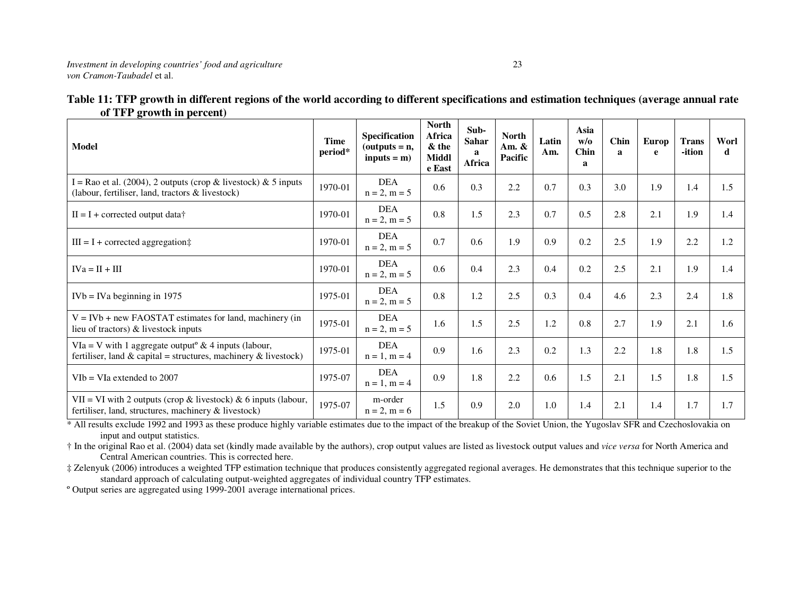| .<br>$A1$ , when $A2$ are producted by                                                                                              |                 |                                                         |                                                    |                                     |                                     |              |                                    |                      |            |                        |           |
|-------------------------------------------------------------------------------------------------------------------------------------|-----------------|---------------------------------------------------------|----------------------------------------------------|-------------------------------------|-------------------------------------|--------------|------------------------------------|----------------------|------------|------------------------|-----------|
| Model                                                                                                                               | Time<br>period* | <b>Specification</b><br>$(outputs = n,$<br>$inputs = m$ | <b>North</b><br>Africa<br>& the<br>Middl<br>e East | Sub-<br><b>Sahar</b><br>a<br>Africa | <b>North</b><br>Am. $\&$<br>Pacific | Latin<br>Am. | Asia<br>$W$ /0<br><b>Chin</b><br>a | Chin<br>$\mathbf{a}$ | Europ<br>e | <b>Trans</b><br>-ition | Worl<br>d |
| I = Rao et al. (2004), 2 outputs (crop & livestock) & 5 inputs<br>(labour, fertiliser, land, tractors & livestock)                  | 1970-01         | <b>DEA</b><br>$n = 2, m = 5$                            | 0.6                                                | 0.3                                 | 2.2                                 | 0.7          | 0.3                                | 3.0                  | 1.9        | 1.4                    | 1.5       |
| $II = I + corrected$ output data†                                                                                                   | 1970-01         | <b>DEA</b><br>$n = 2, m = 5$                            | 0.8                                                | 1.5                                 | 2.3                                 | 0.7          | 0.5                                | 2.8                  | 2.1        | 1.9                    | 1.4       |
| $III = I + corrected aggregation$ :                                                                                                 | 1970-01         | <b>DEA</b><br>$n = 2, m = 5$                            | 0.7                                                | 0.6                                 | 1.9                                 | 0.9          | 0.2                                | 2.5                  | 1.9        | 2.2                    | 1.2       |
| $IVa = II + III$                                                                                                                    | 1970-01         | <b>DEA</b><br>$n = 2, m = 5$                            | 0.6                                                | 0.4                                 | 2.3                                 | 0.4          | 0.2                                | 2.5                  | 2.1        | 1.9                    | 1.4       |
| $IVB = IVa$ beginning in 1975                                                                                                       | 1975-01         | <b>DEA</b><br>$n = 2, m = 5$                            | 0.8                                                | 1.2                                 | 2.5                                 | 0.3          | 0.4                                | 4.6                  | 2.3        | 2.4                    | 1.8       |
| $V = IVb + new FAOSTAT estimates for land, machinery (in$<br>lieu of tractors) $\&$ livestock inputs                                | 1975-01         | <b>DEA</b><br>$n = 2, m = 5$                            | 1.6                                                | 1.5                                 | 2.5                                 | 1.2          | 0.8                                | 2.7                  | 1.9        | 2.1                    | 1.6       |
| VIa = V with 1 aggregate output <sup>o</sup> & 4 inputs (labour,<br>fertiliser, land & capital = structures, machinery & livestock) | 1975-01         | <b>DEA</b><br>$n = 1, m = 4$                            | 0.9                                                | 1.6                                 | 2.3                                 | 0.2          | 1.3                                | 2.2                  | 1.8        | 1.8                    | 1.5       |
| $V$ Ib = VIa extended to 2007                                                                                                       | 1975-07         | <b>DEA</b><br>$n = 1, m = 4$                            | 0.9                                                | 1.8                                 | 2.2                                 | 0.6          | 1.5                                | 2.1                  | 1.5        | 1.8                    | 1.5       |
| VII = VI with 2 outputs (crop & livestock) & 6 inputs (labour,<br>fertiliser, land, structures, machinery $\&$ livestock)           | 1975-07         | m-order<br>$n = 2, m = 6$                               | 1.5                                                | 0.9                                 | 2.0                                 | 1.0          | 1.4                                | 2.1                  | 1.4        | 1.7                    | 1.7       |

| Table 11: TFP growth in different regions of the world according to different specifications and estimation techniques (average annual rate |  |
|---------------------------------------------------------------------------------------------------------------------------------------------|--|
| of TFP growth in percent)                                                                                                                   |  |

\* All results exclude 1992 and 1993 as these produce highly variable estimates due to the impact of the breakup of the Soviet Union, the Yugoslav SFR and Czechoslovakia on input and output statistics.

 † In the original Rao et al. (2004) data set (kindly made available by the authors), crop output values are listed as livestock output values and *vice versa* for North America and Central American countries. This is corrected here.

 ‡ Zelenyuk (2006) introduces a weighted TFP estimation technique that produces consistently aggregated regional averages. He demonstrates that this technique superior to the standard approach of calculating output-weighted aggregates of individual country TFP estimates.

º Output series are aggregated using 1999-2001 average international prices.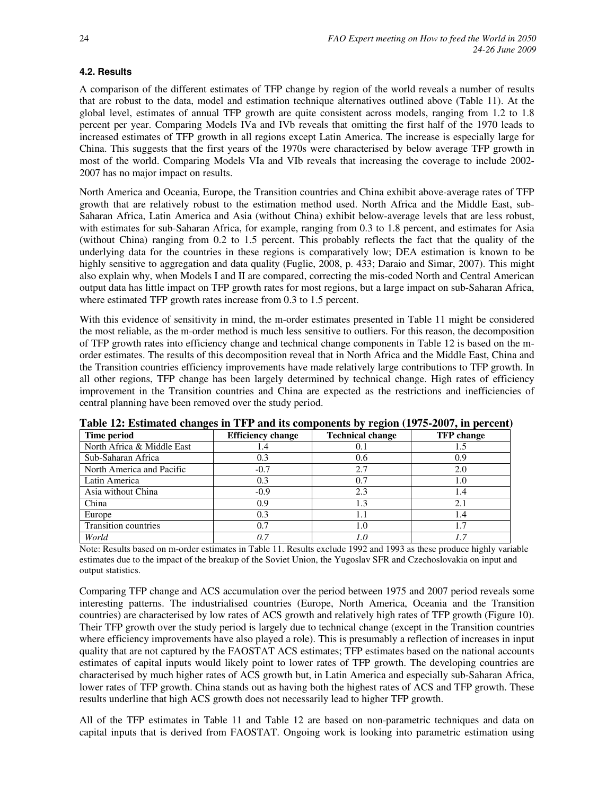### **4.2. Results**

A comparison of the different estimates of TFP change by region of the world reveals a number of results that are robust to the data, model and estimation technique alternatives outlined above (Table 11). At the global level, estimates of annual TFP growth are quite consistent across models, ranging from 1.2 to 1.8 percent per year. Comparing Models IVa and IVb reveals that omitting the first half of the 1970 leads to increased estimates of TFP growth in all regions except Latin America. The increase is especially large for China. This suggests that the first years of the 1970s were characterised by below average TFP growth in most of the world. Comparing Models VIa and VIb reveals that increasing the coverage to include 2002- 2007 has no major impact on results.

North America and Oceania, Europe, the Transition countries and China exhibit above-average rates of TFP growth that are relatively robust to the estimation method used. North Africa and the Middle East, sub-Saharan Africa, Latin America and Asia (without China) exhibit below-average levels that are less robust, with estimates for sub-Saharan Africa, for example, ranging from 0.3 to 1.8 percent, and estimates for Asia (without China) ranging from 0.2 to 1.5 percent. This probably reflects the fact that the quality of the underlying data for the countries in these regions is comparatively low; DEA estimation is known to be highly sensitive to aggregation and data quality (Fuglie, 2008, p. 433; Daraio and Simar, 2007). This might also explain why, when Models I and II are compared, correcting the mis-coded North and Central American output data has little impact on TFP growth rates for most regions, but a large impact on sub-Saharan Africa, where estimated TFP growth rates increase from 0.3 to 1.5 percent.

With this evidence of sensitivity in mind, the m-order estimates presented in Table 11 might be considered the most reliable, as the m-order method is much less sensitive to outliers. For this reason, the decomposition of TFP growth rates into efficiency change and technical change components in Table 12 is based on the morder estimates. The results of this decomposition reveal that in North Africa and the Middle East, China and the Transition countries efficiency improvements have made relatively large contributions to TFP growth. In all other regions, TFP change has been largely determined by technical change. High rates of efficiency improvement in the Transition countries and China are expected as the restrictions and inefficiencies of central planning have been removed over the study period.

| Time period                | <b>Efficiency change</b> | <b>Technical change</b> | <b>TFP</b> change |
|----------------------------|--------------------------|-------------------------|-------------------|
| North Africa & Middle East | 1.4                      | 0.1                     | 1.5               |
| Sub-Saharan Africa         | 0.3                      | 0.6                     | 0.9               |
| North America and Pacific  | $-0.7$                   | 2.7                     | 2.0               |
| Latin America              | 0.3                      | 0.7                     | 1.0               |
| Asia without China         | $-0.9$                   | 2.3                     | 1.4               |
| China                      | 0.9                      | 1.3                     | 2.1               |
| Europe                     | 0.3                      |                         | 1.4               |
| Transition countries       | 0.7                      | $1.0\,$                 | 1.7               |
| World                      | በ 7                      | 1.0                     |                   |

**Table 12: Estimated changes in TFP and its components by region (1975-2007, in percent)** 

Note: Results based on m-order estimates in Table 11. Results exclude 1992 and 1993 as these produce highly variable estimates due to the impact of the breakup of the Soviet Union, the Yugoslav SFR and Czechoslovakia on input and output statistics.

Comparing TFP change and ACS accumulation over the period between 1975 and 2007 period reveals some interesting patterns. The industrialised countries (Europe, North America, Oceania and the Transition countries) are characterised by low rates of ACS growth and relatively high rates of TFP growth (Figure 10). Their TFP growth over the study period is largely due to technical change (except in the Transition countries where efficiency improvements have also played a role). This is presumably a reflection of increases in input quality that are not captured by the FAOSTAT ACS estimates; TFP estimates based on the national accounts estimates of capital inputs would likely point to lower rates of TFP growth. The developing countries are characterised by much higher rates of ACS growth but, in Latin America and especially sub-Saharan Africa, lower rates of TFP growth. China stands out as having both the highest rates of ACS and TFP growth. These results underline that high ACS growth does not necessarily lead to higher TFP growth.

All of the TFP estimates in Table 11 and Table 12 are based on non-parametric techniques and data on capital inputs that is derived from FAOSTAT. Ongoing work is looking into parametric estimation using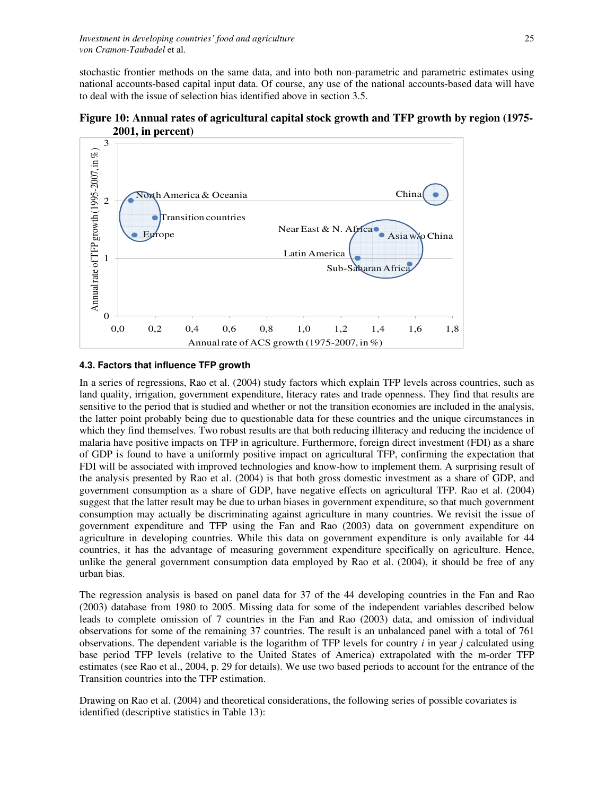stochastic frontier methods on the same data, and into both non-parametric and parametric estimates using national accounts-based capital input data. Of course, any use of the national accounts-based data will have to deal with the issue of selection bias identified above in section 3.5.

**Figure 10: Annual rates of agricultural capital stock growth and TFP growth by region (1975- 2001, in percent)** 

![](_page_24_Figure_3.jpeg)

### **4.3. Factors that influence TFP growth**

In a series of regressions, Rao et al. (2004) study factors which explain TFP levels across countries, such as land quality, irrigation, government expenditure, literacy rates and trade openness. They find that results are sensitive to the period that is studied and whether or not the transition economies are included in the analysis, the latter point probably being due to questionable data for these countries and the unique circumstances in which they find themselves. Two robust results are that both reducing illiteracy and reducing the incidence of malaria have positive impacts on TFP in agriculture. Furthermore, foreign direct investment (FDI) as a share of GDP is found to have a uniformly positive impact on agricultural TFP, confirming the expectation that FDI will be associated with improved technologies and know-how to implement them. A surprising result of the analysis presented by Rao et al. (2004) is that both gross domestic investment as a share of GDP, and government consumption as a share of GDP, have negative effects on agricultural TFP. Rao et al. (2004) suggest that the latter result may be due to urban biases in government expenditure, so that much government consumption may actually be discriminating against agriculture in many countries. We revisit the issue of government expenditure and TFP using the Fan and Rao (2003) data on government expenditure on agriculture in developing countries. While this data on government expenditure is only available for 44 countries, it has the advantage of measuring government expenditure specifically on agriculture. Hence, unlike the general government consumption data employed by Rao et al. (2004), it should be free of any urban bias.

The regression analysis is based on panel data for 37 of the 44 developing countries in the Fan and Rao (2003) database from 1980 to 2005. Missing data for some of the independent variables described below leads to complete omission of 7 countries in the Fan and Rao (2003) data, and omission of individual observations for some of the remaining 37 countries. The result is an unbalanced panel with a total of 761 observations. The dependent variable is the logarithm of TFP levels for country *i* in year *j* calculated using base period TFP levels (relative to the United States of America) extrapolated with the m-order TFP estimates (see Rao et al., 2004, p. 29 for details). We use two based periods to account for the entrance of the Transition countries into the TFP estimation.

Drawing on Rao et al. (2004) and theoretical considerations, the following series of possible covariates is identified (descriptive statistics in Table 13):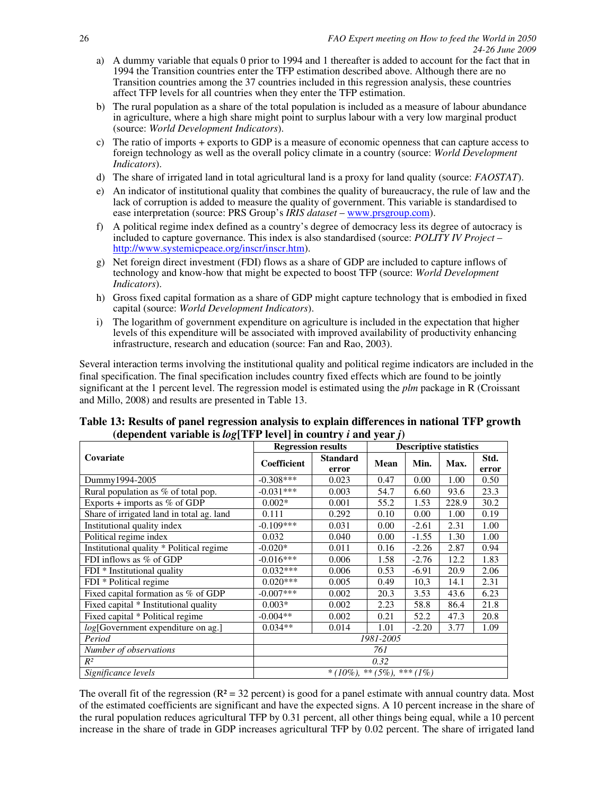- a) A dummy variable that equals 0 prior to 1994 and 1 thereafter is added to account for the fact that in 1994 the Transition countries enter the TFP estimation described above. Although there are no Transition countries among the 37 countries included in this regression analysis, these countries affect TFP levels for all countries when they enter the TFP estimation.
- b) The rural population as a share of the total population is included as a measure of labour abundance in agriculture, where a high share might point to surplus labour with a very low marginal product (source: *World Development Indicators*).
- c) The ratio of imports + exports to GDP is a measure of economic openness that can capture access to foreign technology as well as the overall policy climate in a country (source: *World Development Indicators*).
- d) The share of irrigated land in total agricultural land is a proxy for land quality (source: *FAOSTAT*).
- e) An indicator of institutional quality that combines the quality of bureaucracy, the rule of law and the lack of corruption is added to measure the quality of government. This variable is standardised to ease interpretation (source: PRS Group's *IRIS dataset* – www.prsgroup.com).
- f) A political regime index defined as a country's degree of democracy less its degree of autocracy is included to capture governance. This index is also standardised (source: *POLITY IV Project* – http://www.systemicpeace.org/inscr/inscr.htm).
- g) Net foreign direct investment (FDI) flows as a share of GDP are included to capture inflows of technology and know-how that might be expected to boost TFP (source: *World Development Indicators*).
- h) Gross fixed capital formation as a share of GDP might capture technology that is embodied in fixed capital (source: *World Development Indicators*).
- i) The logarithm of government expenditure on agriculture is included in the expectation that higher levels of this expenditure will be associated with improved availability of productivity enhancing infrastructure, research and education (source: Fan and Rao, 2003).

Several interaction terms involving the institutional quality and political regime indicators are included in the final specification. The final specification includes country fixed effects which are found to be jointly significant at the 1 percent level. The regression model is estimated using the *plm* package in R (Croissant and Millo, 2008) and results are presented in Table 13.

|                                           | <b>Regression results</b>     | <b>Descriptive statistics</b> |             |         |       |               |  |  |
|-------------------------------------------|-------------------------------|-------------------------------|-------------|---------|-------|---------------|--|--|
| Covariate                                 | Coefficient                   | <b>Standard</b><br>error      | <b>Mean</b> | Min.    | Max.  | Std.<br>error |  |  |
| Dummy1994-2005                            | $-0.308***$                   | 0.023                         | 0.47        | 0.00    | 1.00  | 0.50          |  |  |
| Rural population as % of total pop.       | $-0.031***$                   | 0.003                         | 54.7        | 6.60    | 93.6  | 23.3          |  |  |
| Exports + imports as $%$ of GDP           | $0.002*$                      | 0.001                         | 55.2        | 1.53    | 228.9 | 30.2          |  |  |
| Share of irrigated land in total ag. land | 0.111                         | 0.292                         | 0.10        | 0.00    | 1.00  | 0.19          |  |  |
| Institutional quality index               | $-0.109***$                   | 0.031                         | 0.00        | $-2.61$ | 2.31  | 1.00          |  |  |
| Political regime index                    | 0.032                         | 0.040                         | 0.00        | $-1.55$ | 1.30  | 1.00          |  |  |
| Institutional quality * Political regime  | $-0.020*$                     | 0.011                         | 0.16        | $-2.26$ | 2.87  | 0.94          |  |  |
| FDI inflows as % of GDP                   | $-0.016***$                   | 0.006                         | 1.58        | $-2.76$ | 12.2  | 1.83          |  |  |
| FDI * Institutional quality               | $0.032***$                    | 0.006                         | 0.53        | $-6.91$ | 20.9  | 2.06          |  |  |
| FDI * Political regime                    | $0.020***$                    | 0.005                         | 0.49        | 10,3    | 14.1  | 2.31          |  |  |
| Fixed capital formation as % of GDP       | $-0.007***$                   | 0.002                         | 20.3        | 3.53    | 43.6  | 6.23          |  |  |
| Fixed capital * Institutional quality     | $0.003*$                      | 0.002                         | 2.23        | 58.8    | 86.4  | 21.8          |  |  |
| Fixed capital * Political regime          | $-0.004**$                    | 0.002                         | 0.21        | 52.2    | 47.3  | 20.8          |  |  |
| log[Government expenditure on ag.]        | $0.034**$                     | 0.014                         | 1.01        | $-2.20$ | 3.77  | 1.09          |  |  |
| Period                                    | 1981-2005                     |                               |             |         |       |               |  |  |
| Number of observations                    | 761                           |                               |             |         |       |               |  |  |
| $R^2$                                     | 0.32                          |                               |             |         |       |               |  |  |
| Significance levels                       | $*(10\%)$ , ** (5%), *** (1%) |                               |             |         |       |               |  |  |

## **Table 13: Results of panel regression analysis to explain differences in national TFP growth**  (dependent variable is  $log$ [TFP level] in country *i* and year *j*)

The overall fit of the regression ( $R^2 = 32$  percent) is good for a panel estimate with annual country data. Most of the estimated coefficients are significant and have the expected signs. A 10 percent increase in the share of the rural population reduces agricultural TFP by 0.31 percent, all other things being equal, while a 10 percent increase in the share of trade in GDP increases agricultural TFP by 0.02 percent. The share of irrigated land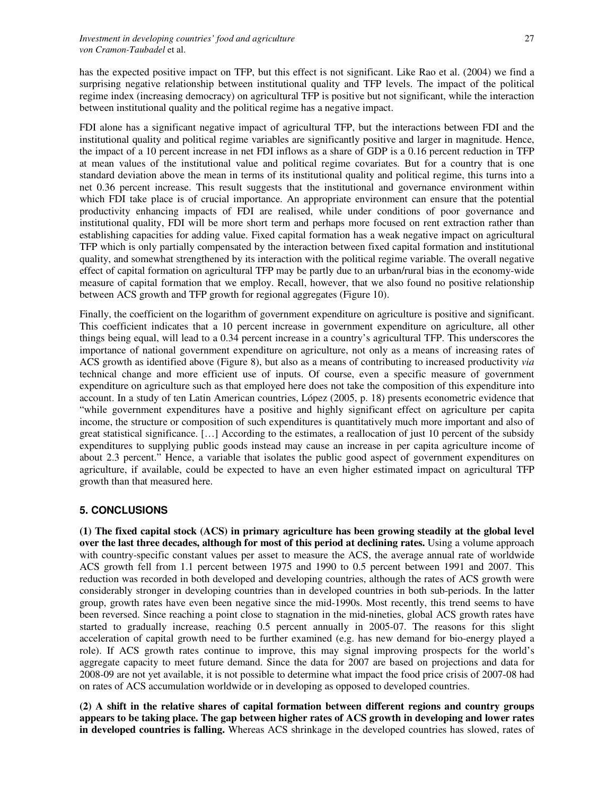has the expected positive impact on TFP, but this effect is not significant. Like Rao et al. (2004) we find a surprising negative relationship between institutional quality and TFP levels. The impact of the political regime index (increasing democracy) on agricultural TFP is positive but not significant, while the interaction between institutional quality and the political regime has a negative impact.

FDI alone has a significant negative impact of agricultural TFP, but the interactions between FDI and the institutional quality and political regime variables are significantly positive and larger in magnitude. Hence, the impact of a 10 percent increase in net FDI inflows as a share of GDP is a 0.16 percent reduction in TFP at mean values of the institutional value and political regime covariates. But for a country that is one standard deviation above the mean in terms of its institutional quality and political regime, this turns into a net 0.36 percent increase. This result suggests that the institutional and governance environment within which FDI take place is of crucial importance. An appropriate environment can ensure that the potential productivity enhancing impacts of FDI are realised, while under conditions of poor governance and institutional quality, FDI will be more short term and perhaps more focused on rent extraction rather than establishing capacities for adding value. Fixed capital formation has a weak negative impact on agricultural TFP which is only partially compensated by the interaction between fixed capital formation and institutional quality, and somewhat strengthened by its interaction with the political regime variable. The overall negative effect of capital formation on agricultural TFP may be partly due to an urban/rural bias in the economy-wide measure of capital formation that we employ. Recall, however, that we also found no positive relationship between ACS growth and TFP growth for regional aggregates (Figure 10).

Finally, the coefficient on the logarithm of government expenditure on agriculture is positive and significant. This coefficient indicates that a 10 percent increase in government expenditure on agriculture, all other things being equal, will lead to a 0.34 percent increase in a country's agricultural TFP. This underscores the importance of national government expenditure on agriculture, not only as a means of increasing rates of ACS growth as identified above (Figure 8), but also as a means of contributing to increased productivity *via* technical change and more efficient use of inputs. Of course, even a specific measure of government expenditure on agriculture such as that employed here does not take the composition of this expenditure into account. In a study of ten Latin American countries, López (2005, p. 18) presents econometric evidence that "while government expenditures have a positive and highly significant effect on agriculture per capita income, the structure or composition of such expenditures is quantitatively much more important and also of great statistical significance. […] According to the estimates, a reallocation of just 10 percent of the subsidy expenditures to supplying public goods instead may cause an increase in per capita agriculture income of about 2.3 percent." Hence, a variable that isolates the public good aspect of government expenditures on agriculture, if available, could be expected to have an even higher estimated impact on agricultural TFP growth than that measured here.

## **5. CONCLUSIONS**

**(1) The fixed capital stock (ACS) in primary agriculture has been growing steadily at the global level over the last three decades, although for most of this period at declining rates.** Using a volume approach with country-specific constant values per asset to measure the ACS, the average annual rate of worldwide ACS growth fell from 1.1 percent between 1975 and 1990 to 0.5 percent between 1991 and 2007. This reduction was recorded in both developed and developing countries, although the rates of ACS growth were considerably stronger in developing countries than in developed countries in both sub-periods. In the latter group, growth rates have even been negative since the mid-1990s. Most recently, this trend seems to have been reversed. Since reaching a point close to stagnation in the mid-nineties, global ACS growth rates have started to gradually increase, reaching 0.5 percent annually in 2005-07. The reasons for this slight acceleration of capital growth need to be further examined (e.g. has new demand for bio-energy played a role). If ACS growth rates continue to improve, this may signal improving prospects for the world's aggregate capacity to meet future demand. Since the data for 2007 are based on projections and data for 2008-09 are not yet available, it is not possible to determine what impact the food price crisis of 2007-08 had on rates of ACS accumulation worldwide or in developing as opposed to developed countries.

**(2) A shift in the relative shares of capital formation between different regions and country groups appears to be taking place. The gap between higher rates of ACS growth in developing and lower rates in developed countries is falling.** Whereas ACS shrinkage in the developed countries has slowed, rates of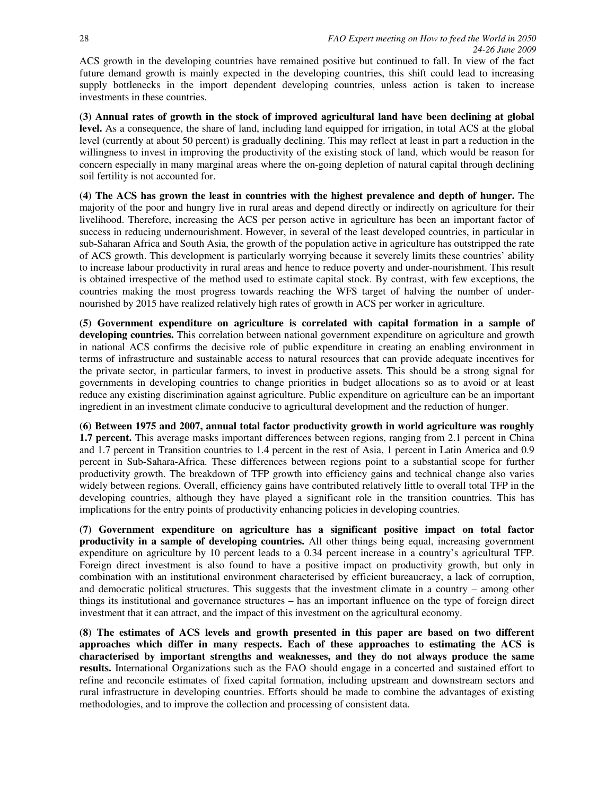ACS growth in the developing countries have remained positive but continued to fall. In view of the fact future demand growth is mainly expected in the developing countries, this shift could lead to increasing supply bottlenecks in the import dependent developing countries, unless action is taken to increase investments in these countries.

**(3) Annual rates of growth in the stock of improved agricultural land have been declining at global level.** As a consequence, the share of land, including land equipped for irrigation, in total ACS at the global level (currently at about 50 percent) is gradually declining. This may reflect at least in part a reduction in the willingness to invest in improving the productivity of the existing stock of land, which would be reason for concern especially in many marginal areas where the on-going depletion of natural capital through declining soil fertility is not accounted for.

**(4) The ACS has grown the least in countries with the highest prevalence and depth of hunger.** The majority of the poor and hungry live in rural areas and depend directly or indirectly on agriculture for their livelihood. Therefore, increasing the ACS per person active in agriculture has been an important factor of success in reducing undernourishment. However, in several of the least developed countries, in particular in sub-Saharan Africa and South Asia, the growth of the population active in agriculture has outstripped the rate of ACS growth. This development is particularly worrying because it severely limits these countries' ability to increase labour productivity in rural areas and hence to reduce poverty and under-nourishment. This result is obtained irrespective of the method used to estimate capital stock. By contrast, with few exceptions, the countries making the most progress towards reaching the WFS target of halving the number of undernourished by 2015 have realized relatively high rates of growth in ACS per worker in agriculture.

**(5) Government expenditure on agriculture is correlated with capital formation in a sample of developing countries.** This correlation between national government expenditure on agriculture and growth in national ACS confirms the decisive role of public expenditure in creating an enabling environment in terms of infrastructure and sustainable access to natural resources that can provide adequate incentives for the private sector, in particular farmers, to invest in productive assets. This should be a strong signal for governments in developing countries to change priorities in budget allocations so as to avoid or at least reduce any existing discrimination against agriculture. Public expenditure on agriculture can be an important ingredient in an investment climate conducive to agricultural development and the reduction of hunger.

**(6) Between 1975 and 2007, annual total factor productivity growth in world agriculture was roughly 1.7 percent.** This average masks important differences between regions, ranging from 2.1 percent in China and 1.7 percent in Transition countries to 1.4 percent in the rest of Asia, 1 percent in Latin America and 0.9 percent in Sub-Sahara-Africa. These differences between regions point to a substantial scope for further productivity growth. The breakdown of TFP growth into efficiency gains and technical change also varies widely between regions. Overall, efficiency gains have contributed relatively little to overall total TFP in the developing countries, although they have played a significant role in the transition countries. This has implications for the entry points of productivity enhancing policies in developing countries.

**(7) Government expenditure on agriculture has a significant positive impact on total factor productivity in a sample of developing countries.** All other things being equal, increasing government expenditure on agriculture by 10 percent leads to a 0.34 percent increase in a country's agricultural TFP. Foreign direct investment is also found to have a positive impact on productivity growth, but only in combination with an institutional environment characterised by efficient bureaucracy, a lack of corruption, and democratic political structures. This suggests that the investment climate in a country – among other things its institutional and governance structures – has an important influence on the type of foreign direct investment that it can attract, and the impact of this investment on the agricultural economy.

**(8) The estimates of ACS levels and growth presented in this paper are based on two different approaches which differ in many respects. Each of these approaches to estimating the ACS is characterised by important strengths and weaknesses, and they do not always produce the same results.** International Organizations such as the FAO should engage in a concerted and sustained effort to refine and reconcile estimates of fixed capital formation, including upstream and downstream sectors and rural infrastructure in developing countries. Efforts should be made to combine the advantages of existing methodologies, and to improve the collection and processing of consistent data.